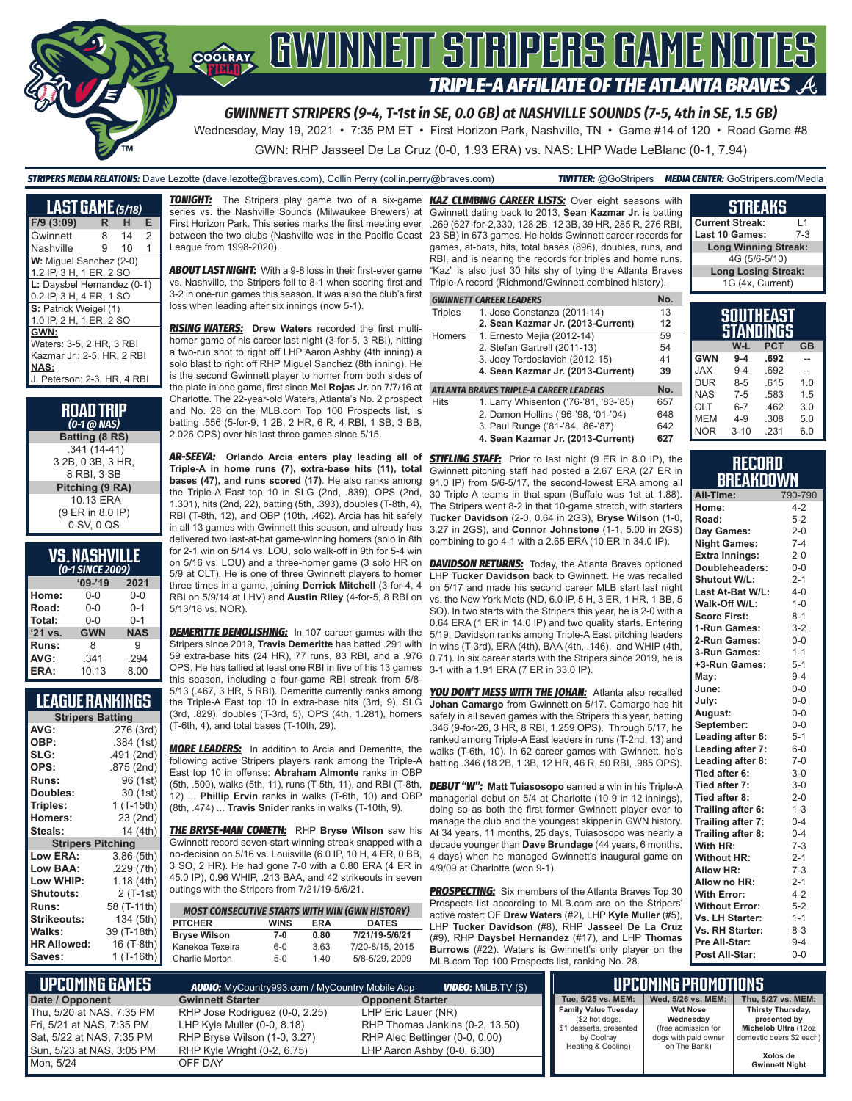

Wednesday, May 19, 2021 • 7:35 PM ET • First Horizon Park, Nashville, TN • Game #14 of 120 • Road Game #8

GWN: RHP Jasseel De La Cruz (0-0, 1.93 ERA) vs. NAS: LHP Wade LeBlanc (0-1, 7.94)

*STRIPERS MEDIA RELATIONS:* Dave Lezotte (dave.lezotte@braves.com), Collin Perry (collin.perry@braves.com) *TWITTER:* @GoStripers *MEDIA CENTER:* GoStripers.com/Media

| <b>LAST GAME</b> (5/18)     |   |    |                |
|-----------------------------|---|----|----------------|
| F/9 (3:09)                  | R | н  | Е              |
| Gwinnett                    | 8 | 14 | $\overline{2}$ |
| Nashville                   | 9 | 10 | 1              |
| W: Miquel Sanchez (2-0)     |   |    |                |
| 1.2 IP, 3 H, 1 ER, 2 SO     |   |    |                |
| L: Daysbel Hernandez (0-1)  |   |    |                |
| 0.2 IP, 3 H, 4 ER, 1 SO     |   |    |                |
| S: Patrick Weigel (1)       |   |    |                |
| 1.0 IP, 2 H, 1 ER, 2 SO     |   |    |                |
| GWN:                        |   |    |                |
| Waters: 3-5, 2 HR, 3 RBI    |   |    |                |
| Kazmar Jr.: 2-5, HR, 2 RBI  |   |    |                |
| NAS:                        |   |    |                |
| J. Peterson: 2-3, HR, 4 RBI |   |    |                |

| <b>ROAD TRIP</b><br>$(0-1$ @ NAS) |
|-----------------------------------|
| Batting (8 RS)                    |
| $.341(14-41)$                     |
| 3 2B, 0 3B, 3 HR,                 |
| 8 RBI, 3 SB                       |
| Pitching (9 RA)                   |
| 10.13 ERA                         |
| (9 ER in 8.0 IP)                  |
| 0 SV, 0 QS                        |

| <b>VS. NASHVILLE</b> |                  |  |
|----------------------|------------------|--|
|                      | (0-1 SINCE 2009) |  |

| <b>SHACE ZOOS</b> |            |            |  |  |
|-------------------|------------|------------|--|--|
|                   | $09 - 19$  | 2021       |  |  |
| Home:             | 0-0        | $0 - 0$    |  |  |
| Road:             | $0 - 0$    | $0 - 1$    |  |  |
| Total:            | $0 - 0$    | $0 - 1$    |  |  |
| $'21$ vs.         | <b>GWN</b> | <b>NAS</b> |  |  |
| Runs:             | 8          | 9          |  |  |
| AVG:              | .341       | .294       |  |  |
| ERA:              | 10.13      | 8.00       |  |  |

# **LEAGUE RANKINGS**

| <b>Stripers Batting</b>  |             |  |  |  |
|--------------------------|-------------|--|--|--|
| AVG:                     | .276 (3rd)  |  |  |  |
| OBP:                     | .384 (1st)  |  |  |  |
| SLG:                     | .491 (2nd)  |  |  |  |
| OPS:                     | .875 (2nd)  |  |  |  |
| <b>Runs:</b>             | 96 (1st)    |  |  |  |
| <b>Doubles:</b>          | 30 (1st)    |  |  |  |
| Triples:                 | 1 (T-15th)  |  |  |  |
| <b>Homers:</b>           | 23 (2nd)    |  |  |  |
| Steals:                  | 14 (4th)    |  |  |  |
| <b>Stripers Pitching</b> |             |  |  |  |
| <b>Low ERA:</b>          | 3.86 (5th)  |  |  |  |
| Low BAA:                 | .229 (7th)  |  |  |  |
| Low WHIP:                | 1.18 (4th)  |  |  |  |
| <b>Shutouts:</b>         | $2($ T-1st) |  |  |  |
| <b>Runs:</b>             | 58 (T-11th) |  |  |  |
| <b>Strikeouts:</b>       | 134 (5th)   |  |  |  |
| Walks:                   | 39 (T-18th) |  |  |  |
| <b>HR Allowed:</b>       | 16 (T-8th)  |  |  |  |
| Saves:                   | 1 (T-16th)  |  |  |  |

 **UPCOMING GAMES** *AUDIO:* MyCountry993.com / MyCountry Mobile App *VIDEO:* MiLB.TV (\$)

**Date / Opponent** Thu, 5/20 at NAS, 7:35 PM Fri, 5/21 at NAS, 7:35 PM Sat, 5/22 at NAS, 7:35 PM Sun, 5/23 at NAS, 3:05 PM

Mon, 5/24

**TONIGHT:** The Stripers play game two of a six-game series vs. the Nashville Sounds (Milwaukee Brewers) at First Horizon Park. This series marks the first meeting ever between the two clubs (Nashville was in the Pacific Coast League from 1998-2020).

**ABOUT LAST NIGHT:** With a 9-8 loss in their first-ever game vs. Nashville, the Stripers fell to 8-1 when scoring first and 3-2 in one-run games this season. It was also the club's first loss when leading after six innings (now 5-1).

*RISING WATERS:* **Drew Waters** recorded the first multihomer game of his career last night (3-for-5, 3 RBI), hitting a two-run shot to right off LHP Aaron Ashby (4th inning) a solo blast to right off RHP Miguel Sanchez (8th inning). He is the second Gwinnett player to homer from both sides of the plate in one game, first since **Mel Rojas Jr.** on 7/7/16 at Charlotte. The 22-year-old Waters, Atlanta's No. 2 prospect and No. 28 on the MLB.com Top 100 Prospects list, is batting .556 (5-for-9, 1 2B, 2 HR, 6 R, 4 RBI, 1 SB, 3 BB, 2.026 OPS) over his last three games since 5/15.

*AR-SEEYA:* **Orlando Arcia enters play leading all of Triple-A in home runs (7), extra-base hits (11), total bases (47), and runs scored (17)**. He also ranks among the Triple-A East top 10 in SLG (2nd, .839), OPS (2nd, 1.301), hits (2nd, 22), batting (5th, .393), doubles (T-8th, 4), RBI (T-8th, 12), and OBP (10th, .462). Arcia has hit safely in all 13 games with Gwinnett this season, and already has delivered two last-at-bat game-winning homers (solo in 8th for 2-1 win on 5/14 vs. LOU, solo walk-off in 9th for 5-4 win on 5/16 vs. LOU) and a three-homer game (3 solo HR on 5/9 at CLT). He is one of three Gwinnett players to homer three times in a game, joining **Derrick Mitchell** (3-for-4, 4 RBI on 5/9/14 at LHV) and **Austin Riley** (4-for-5, 8 RBI on 5/13/18 vs. NOR).

**DEMERITTE DEMOLISHING:** In 107 career games with the Stripers since 2019, **Travis Demeritte** has batted .291 with 59 extra-base hits (24 HR), 77 runs, 83 RBI, and a .976 OPS. He has tallied at least one RBI in five of his 13 games this season, including a four-game RBI streak from 5/8- 5/13 (.467, 3 HR, 5 RBI). Demeritte currently ranks among the Triple-A East top 10 in extra-base hits (3rd, 9), SLG (3rd, .829), doubles (T-3rd, 5), OPS (4th, 1.281), homers (T-6th, 4), and total bases (T-10th, 29).

*MORE LEADERS:* In addition to Arcia and Demeritte, the following active Stripers players rank among the Triple-A East top 10 in offense: **Abraham Almonte** ranks in OBP (5th, .500), walks (5th, 11), runs (T-5th, 11), and RBI (T-8th, 12) ... **Phillip Ervin** ranks in walks (T-6th, 10) and OBP (8th, .474) ... **Travis Snider** ranks in walks (T-10th, 9).

*THE BRYSE-MAN COMETH:* RHP **Bryse Wilson** saw his Gwinnett record seven-start winning streak snapped with a no-decision on 5/16 vs. Louisville (6.0 IP, 10 H, 4 ER, 0 BB, 3 SO, 2 HR). He had gone 7-0 with a 0.80 ERA (4 ER in 45.0 IP), 0.96 WHIP, .213 BAA, and 42 strikeouts in seven outings with the Stripers from 7/21/19-5/6/21.

| <b>MOST CONSECUTIVE STARTS WITH WIN (GWN HISTORY)</b> |             |            |                 |  |  |
|-------------------------------------------------------|-------------|------------|-----------------|--|--|
| <b>PITCHER</b>                                        | <b>WINS</b> | <b>FRA</b> | <b>DATES</b>    |  |  |
| <b>Bryse Wilson</b>                                   | 7-0         | 0.80       | 7/21/19-5/6/21  |  |  |
| Kanekoa Texeira                                       | 6-0         | 3.63       | 7/20-8/15, 2015 |  |  |
| Charlie Morton                                        | $5-0$       | 140        | 5/8-5/29, 2009  |  |  |

*KAZ CLIMBING CAREER LISTS:* Over eight seasons with Gwinnett dating back to 2013, **Sean Kazmar Jr.** is batting .269 (627-for-2,330, 128 2B, 12 3B, 39 HR, 285 R, 276 RBI, 23 SB) in 673 games. He holds Gwinnett career records for games, at-bats, hits, total bases (896), doubles, runs, and RBI, and is nearing the records for triples and home runs. "Kaz" is also just 30 hits shy of tying the Atlanta Braves Triple-A record (Richmond/Gwinnett combined history).

| GWINNETT CAREER LEADERS |  |
|-------------------------|--|
|                         |  |

| Triples | 1. Jose Constanza (2011-14)            | 13  |
|---------|----------------------------------------|-----|
|         | 2. Sean Kazmar Jr. (2013-Current)      | 12  |
| Homers  | 1. Ernesto Mejia (2012-14)             | 59  |
|         | 2. Stefan Gartrell (2011-13)           | 54  |
|         | 3. Joey Terdoslavich (2012-15)         | 41  |
|         | 4. Sean Kazmar Jr. (2013-Current)      | 39  |
|         | ATLANTA BRAVES TRIPLE-A CAREER LEADERS | Nο. |

#### Hits 1. Larry Whisenton ('76-'81, '83-'85) 657

- 2. Damon Hollins ('96-'98, '01-'04) 648<br>3. Paul Runge ('81-'84, '86-'87) 642 3. Paul Runge ('81-'84, '86-'87)
- **4. Sean Kazmar Jr. (2013-Current) 627**

**STIFLING STAFF:** Prior to last night (9 ER in 8.0 IP), the Gwinnett pitching staff had posted a 2.67 ERA (27 ER in 91.0 IP) from 5/6-5/17, the second-lowest ERA among all 30 Triple-A teams in that span (Buffalo was 1st at 1.88). The Stripers went 8-2 in that 10-game stretch, with starters **Tucker Davidson** (2-0, 0.64 in 2GS), **Bryse Wilson** (1-0, 3.27 in 2GS), and **Connor Johnstone** (1-1, 5.00 in 2GS) combining to go 4-1 with a 2.65 ERA (10 ER in 34.0 IP).

**DAVIDSON RETURNS:** Today, the Atlanta Braves optioned LHP **Tucker Davidson** back to Gwinnett. He was recalled on 5/17 and made his second career MLB start last night vs. the New York Mets (ND, 6.0 IP, 5 H, 3 ER, 1 HR, 1 BB, 5 SO). In two starts with the Stripers this year, he is 2-0 with a 0.64 ERA (1 ER in 14.0 IP) and two quality starts. Entering 5/19, Davidson ranks among Triple-A East pitching leaders in wins (T-3rd), ERA (4th), BAA (4th, .146), and WHIP (4th, 0.71). In six career starts with the Stripers since 2019, he is 3-1 with a 1.91 ERA (7 ER in 33.0 IP).

**YOU DON'T MESS WITH THE JOHAN:** Atlanta also recalled **Johan Camargo** from Gwinnett on 5/17. Camargo has hit safely in all seven games with the Stripers this year, batting .346 (9-for-26, 3 HR, 8 RBI, 1.259 OPS). Through 5/17, he ranked among Triple-A East leaders in runs (T-2nd, 13) and walks (T-6th, 10). In 62 career games with Gwinnett, he's batting .346 (18 2B, 1 3B, 12 HR, 46 R, 50 RBI, .985 OPS).

*DEBUT "W":* **Matt Tuiasosopo** earned a win in his Triple-A managerial debut on 5/4 at Charlotte (10-9 in 12 innings), doing so as both the first former Gwinnett player ever to manage the club and the youngest skipper in GWN history. At 34 years, 11 months, 25 days, Tuiasosopo was nearly a decade younger than **Dave Brundage** (44 years, 6 months, 4 days) when he managed Gwinnett's inaugural game on 4/9/09 at Charlotte (won 9-1).

**PROSPECTING:** Six members of the Atlanta Braves Top 30 Prospects list according to MLB.com are on the Stripers' active roster: OF **Drew Waters** (#2), LHP **Kyle Muller** (#5), LHP **Tucker Davidson** (#8), RHP **Jasseel De La Cruz** (#9), RHP **Daysbel Hernandez** (#17), and LHP **Thomas Burrows** (#22). Waters is Gwinnett's only player on the MLB.com Top 100 Prospects list, ranking No. 28.

| <b>Current Streak:</b>      | l 1 |  |  |
|-----------------------------|-----|--|--|
| Last 10 Games:              | 7-3 |  |  |
| <b>Long Winning Streak:</b> |     |  |  |
| 4G (5/6-5/10)               |     |  |  |
| <b>Long Losing Streak:</b>  |     |  |  |
| 1G (4x, Current)            |     |  |  |
|                             |     |  |  |
|                             |     |  |  |

**STREAKS**

| SOUTHEAST<br><b>JINGS</b><br><b>STAND</b> |          |            |           |  |
|-------------------------------------------|----------|------------|-----------|--|
|                                           | W-L      | <b>PCT</b> | <b>GB</b> |  |
| <b>GWN</b>                                | $9 - 4$  | .692       |           |  |
| <b>XAL</b>                                | $9 - 4$  | .692       |           |  |
| <b>DUR</b>                                | $8 - 5$  | .615       | 1.0       |  |
| <b>NAS</b>                                | $7 - 5$  | .583       | 1.5       |  |
| <b>CLT</b>                                | $6 - 7$  | .462       | 3.0       |  |
| <b>MEM</b>                                | $4 - 9$  | .308       | 5.0       |  |
| <b>NOR</b>                                | $3 - 10$ | .231       | 6.0       |  |

#### **RECORD BREAKDOWN**

| All-Time:             | 790-790 |
|-----------------------|---------|
| Home:                 | $4 - 2$ |
| Road:                 | $5 - 2$ |
| Day Games:            | $2 - 0$ |
| <b>Night Games:</b>   | $7 - 4$ |
| <b>Extra Innings:</b> | $2 - 0$ |
| Doubleheaders:        | $0-0$   |
| Shutout W/L:          | $2 - 1$ |
| Last At-Bat W/L:      | $4 - 0$ |
| Walk-Off W/L:         | $1 - 0$ |
| <b>Score First:</b>   | $8 - 1$ |
| 1-Run Games:          | $3-2$   |
| 2-Run Games:          | $0-0$   |
| 3-Run Games:          | $1 - 1$ |
| +3-Run Games:         | $5 - 1$ |
| May:                  | $9 - 4$ |
| June:                 | $0 - 0$ |
| July:                 | $0 - 0$ |
| August:               | $0 - 0$ |
| September:            | $0 - 0$ |
| Leading after 6:      | $5 - 1$ |
| Leading after 7:      | $6-0$   |
| Leading after 8:      | $7-0$   |
| Tied after 6:         | $3 - 0$ |
| Tied after 7:         | $3 - 0$ |
| Tied after 8:         | $2 - 0$ |
| Trailing after 6:     | $1 - 3$ |
| Trailing after 7:     | $0 - 4$ |
| Trailing after 8:     | $0 - 4$ |
| With HR:              | $7-3$   |
| <b>Without HR:</b>    | $2 - 1$ |
| Allow HR:             | $7-3$   |
| Allow no HR:          | $2 - 1$ |
| <b>With Error:</b>    | $4 - 2$ |
| <b>Without Error:</b> | $5 - 2$ |
| Vs. LH Starter:       | $1 - 1$ |
| Vs. RH Starter:       | $8 - 3$ |
| Pre All-Star:         | $9 - 4$ |
| Post All-Star:        | $0 - 0$ |

| <b>VIDEO:</b> MILB.TV (\$)<br><b>AUDIO:</b> MyCountry993.com / MyCountry Mobile App                                                       |                                                                                                                         |                                                                                                              | <b>UPCOMING PROMOTIONS</b>                                                                  |                                                                                                                           |
|-------------------------------------------------------------------------------------------------------------------------------------------|-------------------------------------------------------------------------------------------------------------------------|--------------------------------------------------------------------------------------------------------------|---------------------------------------------------------------------------------------------|---------------------------------------------------------------------------------------------------------------------------|
| <b>Gwinnett Starter</b>                                                                                                                   | <b>Opponent Starter</b>                                                                                                 | Tue, 5/25 vs. MEM:                                                                                           | Wed, 5/26 vs. MEM:                                                                          | Thu, 5/27 vs. MEM:                                                                                                        |
| RHP Jose Rodriguez (0-0, 2.25)<br>LHP Kyle Muller $(0-0, 8.18)$<br>RHP Bryse Wilson (1-0, 3.27)<br>RHP Kyle Wright (0-2, 6.75)<br>OFF DAY | LHP Eric Lauer (NR)<br>RHP Thomas Jankins (0-2, 13.50)<br>RHP Alec Bettinger (0-0, 0.00)<br>LHP Aaron Ashby (0-0, 6.30) | <b>Family Value Tuesday</b><br>(\$2 hot dogs,<br>\$1 desserts, presented<br>by Coolray<br>Heating & Cooling) | <b>Wet Nose</b><br>Wednesdav<br>(free admission for<br>dogs with paid owner<br>on The Bank) | Thirsty Thursday,<br>presented by<br>Michelob Ultra (12oz<br>domestic beers \$2 each<br>Xolos de<br><b>Gwinnett Night</b> |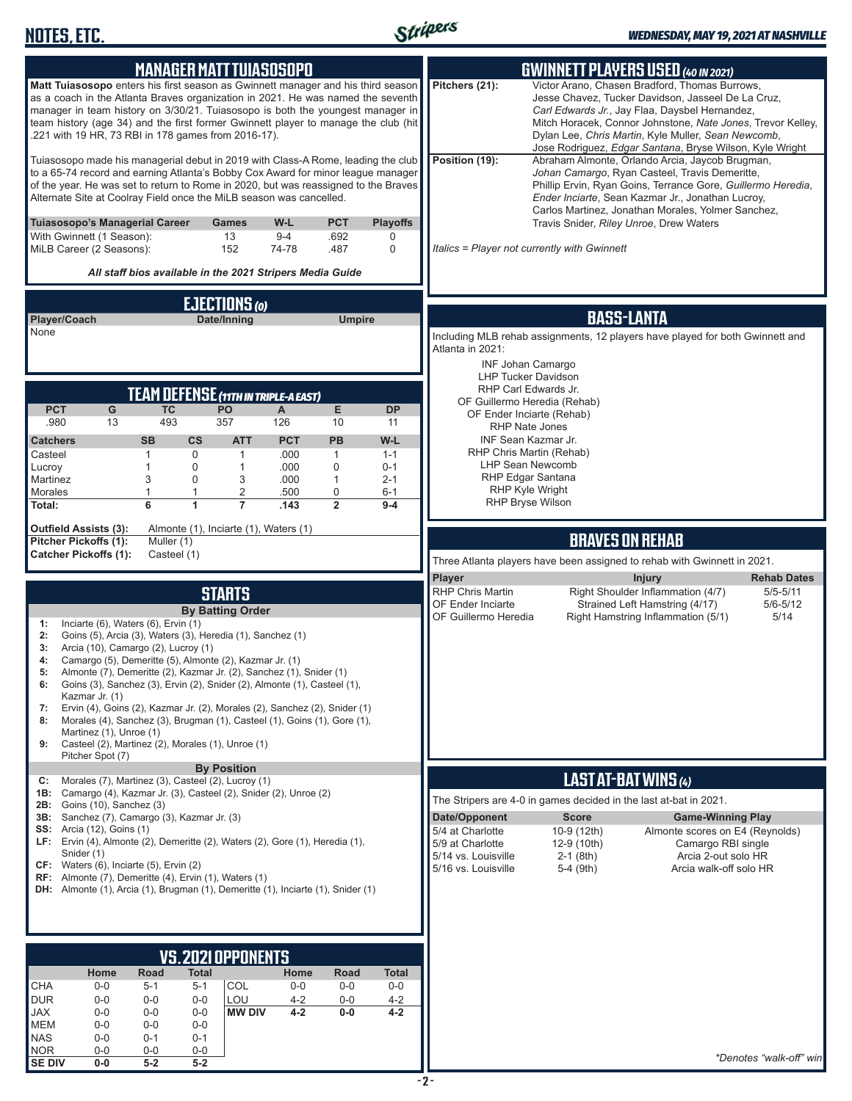**SE DIV 0-0 5-2 5-2**



|                                                                                                                                                                                                                                                                                                                                                    | <b>MANAGER MATTTUIASOSOPO</b>                                                                                                 |                                                                     |                            |                                     |                                              | <b>GWINNETT PLAYERS USED (40 IN 2021)</b>                                               |                                                                                                                                                                                                                                                                                                                                          |  |
|----------------------------------------------------------------------------------------------------------------------------------------------------------------------------------------------------------------------------------------------------------------------------------------------------------------------------------------------------|-------------------------------------------------------------------------------------------------------------------------------|---------------------------------------------------------------------|----------------------------|-------------------------------------|----------------------------------------------|-----------------------------------------------------------------------------------------|------------------------------------------------------------------------------------------------------------------------------------------------------------------------------------------------------------------------------------------------------------------------------------------------------------------------------------------|--|
| <b>Matt Tuiasosopo</b> enters his first season as Gwinnett manager and his third season<br>as a coach in the Atlanta Braves organization in 2021. He was named the seventh<br>manager in team history on 3/30/21. Tuiasosopo is both the youngest manager in<br>team history (age 34) and the first former Gwinnett player to manage the club (hit | .221 with 19 HR, 73 RBI in 178 games from 2016-17).                                                                           |                                                                     |                            |                                     | Pitchers (21):                               |                                                                                         | Victor Arano, Chasen Bradford, Thomas Burrows,<br>Jesse Chavez, Tucker Davidson, Jasseel De La Cruz,<br>Carl Edwards Jr., Jay Flaa, Daysbel Hernandez,<br>Mitch Horacek, Connor Johnstone, Nate Jones, Trevor Kelley,<br>Dylan Lee, Chris Martin, Kyle Muller, Sean Newcomb,<br>Jose Rodriguez, Edgar Santana, Bryse Wilson, Kyle Wright |  |
| Tuiasosopo made his managerial debut in 2019 with Class-A Rome, leading the club<br>to a 65-74 record and earning Atlanta's Bobby Cox Award for minor league manager<br>of the year. He was set to return to Rome in 2020, but was reassigned to the Braves<br>Alternate Site at Coolray Field once the MiLB season was cancelled.                 |                                                                                                                               |                                                                     |                            |                                     | Position (19):                               |                                                                                         | Abraham Almonte, Orlando Arcia, Jaycob Brugman,<br>Johan Camargo, Ryan Casteel, Travis Demeritte,<br>Phillip Ervin, Ryan Goins, Terrance Gore, Guillermo Heredia,<br>Ender Inciarte, Sean Kazmar Jr., Jonathan Lucroy,<br>Carlos Martinez, Jonathan Morales, Yolmer Sanchez,                                                             |  |
| Tuiasosopo's Managerial Career<br>With Gwinnett (1 Season):<br>MiLB Career (2 Seasons):                                                                                                                                                                                                                                                            | <b>Games</b><br>13<br>152                                                                                                     | W-L<br>$9 - 4$<br>74-78                                             | <b>PCT</b><br>.692<br>.487 | <b>Playoffs</b><br>0<br>$\mathbf 0$ |                                              | Travis Snider, Riley Unroe, Drew Waters<br>Italics = Player not currently with Gwinnett |                                                                                                                                                                                                                                                                                                                                          |  |
|                                                                                                                                                                                                                                                                                                                                                    | All staff bios available in the 2021 Stripers Media Guide                                                                     |                                                                     |                            |                                     |                                              |                                                                                         |                                                                                                                                                                                                                                                                                                                                          |  |
|                                                                                                                                                                                                                                                                                                                                                    | <b>EJECTIONS (0)</b>                                                                                                          |                                                                     |                            |                                     |                                              |                                                                                         |                                                                                                                                                                                                                                                                                                                                          |  |
| Player/Coach<br>None                                                                                                                                                                                                                                                                                                                               | Date/Inning                                                                                                                   |                                                                     | <b>Umpire</b>              |                                     |                                              | <b>BASS-LANTA</b>                                                                       |                                                                                                                                                                                                                                                                                                                                          |  |
|                                                                                                                                                                                                                                                                                                                                                    |                                                                                                                               |                                                                     |                            |                                     | Atlanta in 2021:                             |                                                                                         | Including MLB rehab assignments, 12 players have played for both Gwinnett and                                                                                                                                                                                                                                                            |  |
|                                                                                                                                                                                                                                                                                                                                                    |                                                                                                                               |                                                                     |                            |                                     |                                              | <b>INF Johan Camargo</b><br><b>LHP Tucker Davidson</b>                                  |                                                                                                                                                                                                                                                                                                                                          |  |
|                                                                                                                                                                                                                                                                                                                                                    | TEAM DEFENSE (11TH IN TRIPLE-A EAST)                                                                                          |                                                                     |                            |                                     |                                              | RHP Carl Edwards Jr.<br>OF Guillermo Heredia (Rehab)                                    |                                                                                                                                                                                                                                                                                                                                          |  |
| G<br><b>PCT</b><br>.980<br>13                                                                                                                                                                                                                                                                                                                      | <b>TC</b><br>PO<br>493<br>357                                                                                                 | A<br>126                                                            | E<br>10                    | <b>DP</b><br>11                     |                                              | OF Ender Inciarte (Rehab)<br><b>RHP Nate Jones</b>                                      |                                                                                                                                                                                                                                                                                                                                          |  |
| <b>Catchers</b>                                                                                                                                                                                                                                                                                                                                    | <b>SB</b><br>$\mathsf{cs}$                                                                                                    | <b>PCT</b><br><b>ATT</b>                                            | PB                         | W-L                                 |                                              | INF Sean Kazmar Jr.                                                                     |                                                                                                                                                                                                                                                                                                                                          |  |
| Casteel<br>Lucroy                                                                                                                                                                                                                                                                                                                                  | 0<br>1<br>0<br>1                                                                                                              | .000<br>1<br>$\mathbf{1}$<br>.000                                   | 1<br>$\mathbf 0$           | $1 - 1$<br>$0 - 1$                  |                                              | RHP Chris Martin (Rehab)<br><b>LHP Sean Newcomb</b>                                     |                                                                                                                                                                                                                                                                                                                                          |  |
| Martinez<br>Morales                                                                                                                                                                                                                                                                                                                                | 3<br>0<br>1<br>1                                                                                                              | 3<br>.000<br>2<br>.500                                              | $\mathbf{1}$<br>0          | $2 - 1$<br>$6 - 1$                  |                                              | RHP Edgar Santana<br>RHP Kyle Wright                                                    |                                                                                                                                                                                                                                                                                                                                          |  |
| Total:                                                                                                                                                                                                                                                                                                                                             | $6\overline{6}$<br>1                                                                                                          | $\overline{7}$<br>.143                                              | $\overline{2}$             | $9 - 4$                             |                                              | RHP Bryse Wilson                                                                        |                                                                                                                                                                                                                                                                                                                                          |  |
| <b>Outfield Assists (3):</b><br>Pitcher Pickoffs (1):                                                                                                                                                                                                                                                                                              | Almonte (1), Inciarte (1), Waters (1)<br>Muller (1)                                                                           |                                                                     |                            |                                     |                                              | <b>BRAVES ON REHAB</b>                                                                  |                                                                                                                                                                                                                                                                                                                                          |  |
| <b>Catcher Pickoffs (1):</b>                                                                                                                                                                                                                                                                                                                       | Casteel (1)                                                                                                                   |                                                                     |                            |                                     |                                              |                                                                                         | Three Atlanta players have been assigned to rehab with Gwinnett in 2021.                                                                                                                                                                                                                                                                 |  |
|                                                                                                                                                                                                                                                                                                                                                    |                                                                                                                               |                                                                     |                            |                                     | <b>Player</b>                                |                                                                                         | <b>Injury</b><br><b>Rehab Dates</b>                                                                                                                                                                                                                                                                                                      |  |
|                                                                                                                                                                                                                                                                                                                                                    | <b>STARTS</b><br><b>By Batting Order</b>                                                                                      |                                                                     |                            |                                     | <b>RHP Chris Martin</b><br>OF Ender Inciarte |                                                                                         | Right Shoulder Inflammation (4/7)<br>$5/5 - 5/11$<br>Strained Left Hamstring (4/17)<br>$5/6 - 5/12$                                                                                                                                                                                                                                      |  |
| Inciarte (6), Waters (6), Ervin (1)<br>1:                                                                                                                                                                                                                                                                                                          |                                                                                                                               |                                                                     |                            |                                     | OF Guillermo Heredia                         |                                                                                         | 5/14<br>Right Hamstring Inflammation (5/1)                                                                                                                                                                                                                                                                                               |  |
| 2:<br>3:                                                                                                                                                                                                                                                                                                                                           | Goins (5), Arcia (3), Waters (3), Heredia (1), Sanchez (1)<br>Arcia (10), Camargo (2), Lucroy (1)                             |                                                                     |                            |                                     |                                              |                                                                                         |                                                                                                                                                                                                                                                                                                                                          |  |
| 4:                                                                                                                                                                                                                                                                                                                                                 | Camargo (5), Demeritte (5), Almonte (2), Kazmar Jr. (1)                                                                       | Almonte (7), Demeritte (2), Kazmar Jr. (2), Sanchez (1), Snider (1) |                            |                                     |                                              |                                                                                         |                                                                                                                                                                                                                                                                                                                                          |  |
| 5:                                                                                                                                                                                                                                                                                                                                                 |                                                                                                                               |                                                                     |                            |                                     |                                              |                                                                                         |                                                                                                                                                                                                                                                                                                                                          |  |
| Kazmar Jr. (1)                                                                                                                                                                                                                                                                                                                                     | Goins (3), Sanchez (3), Ervin (2), Snider (2), Almonte (1), Casteel (1),                                                      |                                                                     |                            |                                     |                                              |                                                                                         |                                                                                                                                                                                                                                                                                                                                          |  |
| 7:<br>8:                                                                                                                                                                                                                                                                                                                                           | Ervin (4), Goins (2), Kazmar Jr. (2), Morales (2), Sanchez (2), Snider (1)                                                    |                                                                     |                            |                                     |                                              |                                                                                         |                                                                                                                                                                                                                                                                                                                                          |  |
| Martinez (1), Unroe (1)<br>9:                                                                                                                                                                                                                                                                                                                      | Morales (4), Sanchez (3), Brugman (1), Casteel (1), Goins (1), Gore (1),<br>Casteel (2), Martinez (2), Morales (1), Unroe (1) |                                                                     |                            |                                     |                                              |                                                                                         |                                                                                                                                                                                                                                                                                                                                          |  |
| Pitcher Spot (7)                                                                                                                                                                                                                                                                                                                                   |                                                                                                                               |                                                                     |                            |                                     |                                              |                                                                                         |                                                                                                                                                                                                                                                                                                                                          |  |
| C:                                                                                                                                                                                                                                                                                                                                                 | <b>By Position</b><br>Morales (7), Martinez (3), Casteel (2), Lucroy (1)                                                      |                                                                     |                            |                                     |                                              | LAST AT-BAT WINS (4)                                                                    |                                                                                                                                                                                                                                                                                                                                          |  |
| <b>2B:</b> Goins (10), Sanchez (3)                                                                                                                                                                                                                                                                                                                 | 1B: Camargo (4), Kazmar Jr. (3), Casteel (2), Snider (2), Unroe (2)                                                           |                                                                     |                            |                                     |                                              | The Stripers are 4-0 in games decided in the last at-bat in 2021.                       |                                                                                                                                                                                                                                                                                                                                          |  |
| <b>SS:</b> Arcia (12), Goins (1)                                                                                                                                                                                                                                                                                                                   | 3B: Sanchez (7), Camargo (3), Kazmar Jr. (3)                                                                                  |                                                                     |                            |                                     | Date/Opponent<br>5/4 at Charlotte            | <b>Score</b><br>10-9 (12th)                                                             | <b>Game-Winning Play</b><br>Almonte scores on E4 (Reynolds)                                                                                                                                                                                                                                                                              |  |
| Snider (1)                                                                                                                                                                                                                                                                                                                                         | LF: Ervin (4), Almonte (2), Demeritte (2), Waters (2), Gore (1), Heredia (1),                                                 |                                                                     |                            |                                     | 5/9 at Charlotte<br>5/14 vs. Louisville      | 12-9 (10th)<br>$2-1$ (8th)                                                              | Camargo RBI single<br>Arcia 2-out solo HR                                                                                                                                                                                                                                                                                                |  |
| $CF:$ Waters (6), Inciarte (5), Ervin (2)                                                                                                                                                                                                                                                                                                          | <b>RF:</b> Almonte (7), Demeritte (4), Ervin (1), Waters (1)                                                                  |                                                                     |                            |                                     | 5/16 vs. Louisville                          | 5-4 (9th)                                                                               | Arcia walk-off solo HR                                                                                                                                                                                                                                                                                                                   |  |
|                                                                                                                                                                                                                                                                                                                                                    | <b>DH:</b> Almonte (1), Arcia (1), Brugman (1), Demeritte (1), Inciarte (1), Snider (1)                                       |                                                                     |                            |                                     |                                              |                                                                                         |                                                                                                                                                                                                                                                                                                                                          |  |
|                                                                                                                                                                                                                                                                                                                                                    |                                                                                                                               |                                                                     |                            |                                     |                                              |                                                                                         |                                                                                                                                                                                                                                                                                                                                          |  |
|                                                                                                                                                                                                                                                                                                                                                    |                                                                                                                               |                                                                     |                            |                                     |                                              |                                                                                         |                                                                                                                                                                                                                                                                                                                                          |  |
| Home                                                                                                                                                                                                                                                                                                                                               | VS.2021 OPPONENTS<br>Road<br><b>Total</b>                                                                                     | Home                                                                | Road                       | <b>Total</b>                        |                                              |                                                                                         |                                                                                                                                                                                                                                                                                                                                          |  |
| <b>CHA</b><br>$0-0$<br><b>DUR</b><br>$0 - 0$                                                                                                                                                                                                                                                                                                       | $5 - 1$<br>$5 - 1$<br>$0-0$<br>$0-0$                                                                                          | COL<br>$0-0$<br>LOU<br>$4 - 2$                                      | $0-0$<br>$0-0$             | $0-0$<br>$4 - 2$                    |                                              |                                                                                         |                                                                                                                                                                                                                                                                                                                                          |  |
| <b>JAX</b><br>$0-0$                                                                                                                                                                                                                                                                                                                                | $0 - 0$<br>$0-0$                                                                                                              | <b>MW DIV</b><br>$4 - 2$                                            | $0-0$                      | $4 - 2$                             |                                              |                                                                                         |                                                                                                                                                                                                                                                                                                                                          |  |
| <b>MEM</b><br>$0-0$<br><b>NAS</b><br>$0-0$<br><b>NOR</b><br>$0-0$                                                                                                                                                                                                                                                                                  | $0 - 0$<br>$0-0$<br>$0 - 1$<br>$0 - 1$<br>$0-0$<br>$0-0$                                                                      |                                                                     |                            |                                     |                                              |                                                                                         |                                                                                                                                                                                                                                                                                                                                          |  |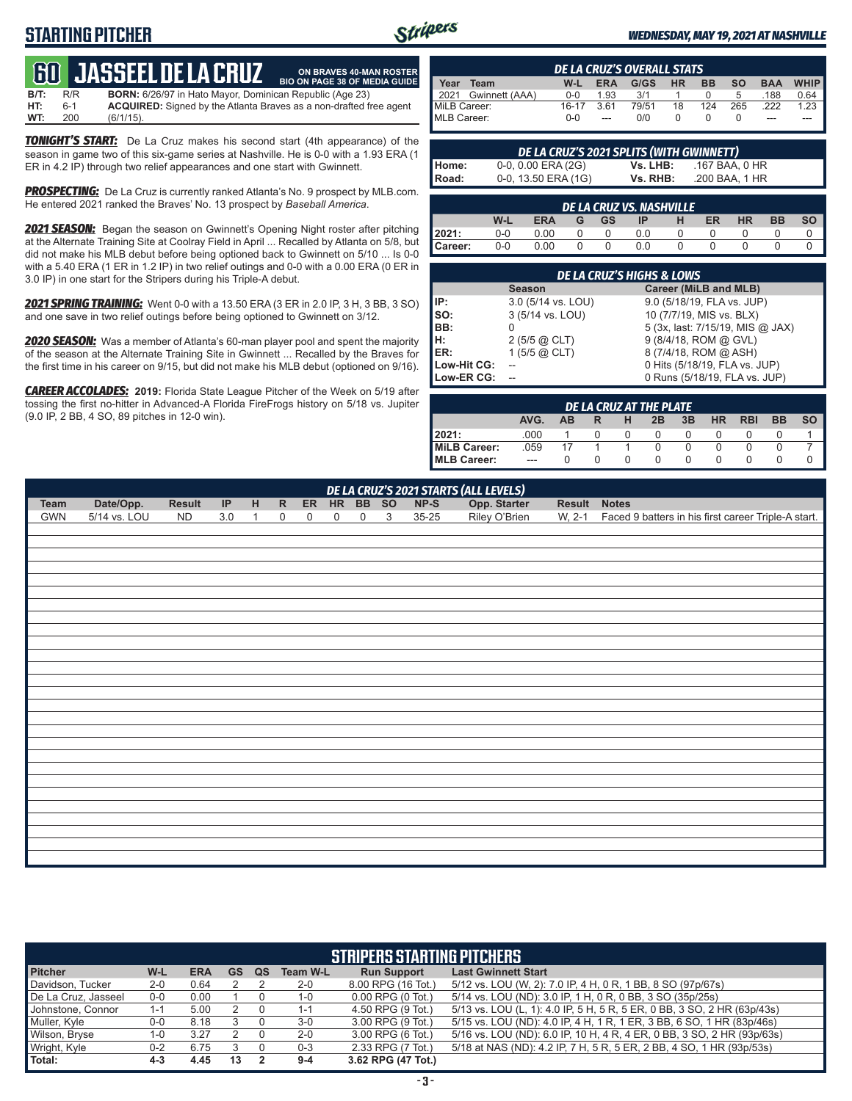# **STARTING PITCHER**



**ON BRAVES 40-MAN ROSTER**

#### *WEDNESDAY, MAY 19, 2021 AT NASHVILLE*

# **60****JASSEEL DE LA CRUZ**

**B/T:** R/R **BORN:** 6/26/97 in Hato Mayor, Dominican Republic (Age 23)<br>**HT:** 6-1 **ACQUIRED:** Signed by the Atlanta Braves as a non-drafted f **HT:** 6-1 **ACQUIRED:** Signed by the Atlanta Braves as a non-drafted free agent  $(6/1/15)$ . **BIO ON PAGE 38 OF MEDIA GUIDE**

*TONIGHT'S START:* De La Cruz makes his second start (4th appearance) of the season in game two of this six-game series at Nashville. He is 0-0 with a 1.93 ERA (1 ER in 4.2 IP) through two relief appearances and one start with Gwinnett.

**PROSPECTING:** De La Cruz is currently ranked Atlanta's No. 9 prospect by MLB.com. He entered 2021 ranked the Braves' No. 13 prospect by *Baseball America*.

*2021 SEASON:* Began the season on Gwinnett's Opening Night roster after pitching at the Alternate Training Site at Coolray Field in April ... Recalled by Atlanta on 5/8, but did not make his MLB debut before being optioned back to Gwinnett on 5/10 ... Is 0-0 with a 5.40 ERA (1 ER in 1.2 IP) in two relief outings and 0-0 with a 0.00 ERA (0 ER in 3.0 IP) in one start for the Stripers during his Triple-A debut.

*2021 SPRING TRAINING:* Went 0-0 with a 13.50 ERA (3 ER in 2.0 IP, 3 H, 3 BB, 3 SO) and one save in two relief outings before being optioned to Gwinnett on 3/12.

*2020 SEASON:* Was a member of Atlanta's 60-man player pool and spent the majority of the season at the Alternate Training Site in Gwinnett ... Recalled by the Braves for the first time in his career on 9/15, but did not make his MLB debut (optioned on 9/16).

*CAREER ACCOLADES:* **2019:** Florida State League Pitcher of the Week on 5/19 after tossing the first no-hitter in Advanced-A Florida FireFrogs history on 5/18 vs. Jupiter (9.0 IP, 2 BB, 4 SO, 89 pitches in 12-0 win).

|              | <b>DE LA CRUZ'S OVERALL STATS</b> |         |            |       |           |           |           |            |      |  |  |  |  |  |
|--------------|-----------------------------------|---------|------------|-------|-----------|-----------|-----------|------------|------|--|--|--|--|--|
| Year         | Team                              | W-L     | <b>ERA</b> | G/GS  | <b>HR</b> | <b>BB</b> | <b>SO</b> | <b>BAA</b> | WHIP |  |  |  |  |  |
|              | 2021 Gwinnett (AAA)               | $0 - 0$ | 1.93       | 3/1   |           |           | b         | .188       | 0.64 |  |  |  |  |  |
| MiLB Career: |                                   | $16-17$ | 361        | 79/51 | 18        | 124       | 265       | 222        | 1.23 |  |  |  |  |  |
| MLB Career:  |                                   | $0 - 0$ | $---$      | 0/0   |           |           |           | ---        |      |  |  |  |  |  |

|       | DE LA CRUZ'S 2021 SPLITS (WITH GWINNETT) |          |                |
|-------|------------------------------------------|----------|----------------|
| Home: | 0-0, 0.00 ERA (2G)                       | Vs. LHB: | .167 BAA, 0 HR |
| Road: | $0-0$ , 13.50 ERA (1G)                   | Vs. RHB: | .200 BAA, 1 HR |

|         | DE LA CRUZ VS. NASHVILLE                                                                    |      |  |   |     |  |  |  |  |  |  |  |  |  |
|---------|---------------------------------------------------------------------------------------------|------|--|---|-----|--|--|--|--|--|--|--|--|--|
|         | <b>SO</b><br><b>BB</b><br><b>HR</b><br>W-L<br>ER<br><b>ERA</b><br><b>GS</b><br>ΙP<br>G<br>н |      |  |   |     |  |  |  |  |  |  |  |  |  |
| 12021:  | $0 - 0$                                                                                     | 0.00 |  |   | 0.0 |  |  |  |  |  |  |  |  |  |
| Career: | $0-0$                                                                                       | 0.00 |  | 0 | 0.0 |  |  |  |  |  |  |  |  |  |

|             | <b>DE LA CRUZ'S HIGHS &amp; LOWS</b> |                                  |  |  |  |  |  |  |  |  |  |  |  |
|-------------|--------------------------------------|----------------------------------|--|--|--|--|--|--|--|--|--|--|--|
|             | <b>Season</b>                        | Career (MiLB and MLB)            |  |  |  |  |  |  |  |  |  |  |  |
| IP:         | 3.0 (5/14 vs. LOU)                   | 9.0 (5/18/19, FLA vs. JUP)       |  |  |  |  |  |  |  |  |  |  |  |
| $\vert$ so: | 3 (5/14 vs. LOU)                     | 10 (7/7/19, MIS vs. BLX)         |  |  |  |  |  |  |  |  |  |  |  |
| BB:         |                                      | 5 (3x, last: 7/15/19, MIS @ JAX) |  |  |  |  |  |  |  |  |  |  |  |
| H:          | $2(5/5)$ $\omega$ CLT)               | 9 (8/4/18, ROM @ GVL)            |  |  |  |  |  |  |  |  |  |  |  |
| <b>IER:</b> | 1 $(5/5)$ @ CLT)                     | 8 (7/4/18, ROM @ ASH)            |  |  |  |  |  |  |  |  |  |  |  |
| Low-Hit CG: |                                      | 0 Hits (5/18/19, FLA vs. JUP)    |  |  |  |  |  |  |  |  |  |  |  |
| Low-ER CG:  |                                      | 0 Runs (5/18/19, FLA vs. JUP)    |  |  |  |  |  |  |  |  |  |  |  |

|              | DE LA CRUZ AT THE PLATE |           |  |   |    |    |           |            |           |           |  |  |  |  |
|--------------|-------------------------|-----------|--|---|----|----|-----------|------------|-----------|-----------|--|--|--|--|
|              | AVG.                    | <b>AB</b> |  | н | 2B | 3B | <b>HR</b> | <b>RBI</b> | <b>BB</b> | <b>SO</b> |  |  |  |  |
| 2021:        | .000                    |           |  |   |    |    |           |            |           |           |  |  |  |  |
| MiLB Career: | .059                    |           |  |   |    |    |           |            |           |           |  |  |  |  |
| MLB Career:  | $---$                   |           |  |   |    |    |           |            |           |           |  |  |  |  |

|      | DE LA CRUZ'S 2021 STARTS (ALL LEVELS) |        |                                   |              |              |             |             |             |   |        |                               |        |                                                            |  |
|------|---------------------------------------|--------|-----------------------------------|--------------|--------------|-------------|-------------|-------------|---|--------|-------------------------------|--------|------------------------------------------------------------|--|
| Team | Date/Opp.                             | Result | $\ensuremath{\mathsf{IP}}\xspace$ | H            | $\mathsf{R}$ |             | ER HR BB SO |             |   | $NP-S$ | Opp. Starter<br>Riley O'Brien | Result | <b>Notes</b>                                               |  |
| GWN  | 5/14 vs. LOU                          | ND     | 3.0                               | $\mathbf{1}$ | 0            | $\mathbf 0$ | 0           | $\mathbf 0$ | 3 | 35-25  |                               |        | W, 2-1 Faced 9 batters in his first career Triple-A start. |  |
|      |                                       |        |                                   |              |              |             |             |             |   |        |                               |        |                                                            |  |
|      |                                       |        |                                   |              |              |             |             |             |   |        |                               |        |                                                            |  |
|      |                                       |        |                                   |              |              |             |             |             |   |        |                               |        |                                                            |  |
|      |                                       |        |                                   |              |              |             |             |             |   |        |                               |        |                                                            |  |
|      |                                       |        |                                   |              |              |             |             |             |   |        |                               |        |                                                            |  |
|      |                                       |        |                                   |              |              |             |             |             |   |        |                               |        |                                                            |  |
|      |                                       |        |                                   |              |              |             |             |             |   |        |                               |        |                                                            |  |
|      |                                       |        |                                   |              |              |             |             |             |   |        |                               |        |                                                            |  |
|      |                                       |        |                                   |              |              |             |             |             |   |        |                               |        |                                                            |  |
|      |                                       |        |                                   |              |              |             |             |             |   |        |                               |        |                                                            |  |
|      |                                       |        |                                   |              |              |             |             |             |   |        |                               |        |                                                            |  |
|      |                                       |        |                                   |              |              |             |             |             |   |        |                               |        |                                                            |  |
|      |                                       |        |                                   |              |              |             |             |             |   |        |                               |        |                                                            |  |
|      |                                       |        |                                   |              |              |             |             |             |   |        |                               |        |                                                            |  |
|      |                                       |        |                                   |              |              |             |             |             |   |        |                               |        |                                                            |  |
|      |                                       |        |                                   |              |              |             |             |             |   |        |                               |        |                                                            |  |
|      |                                       |        |                                   |              |              |             |             |             |   |        |                               |        |                                                            |  |
|      |                                       |        |                                   |              |              |             |             |             |   |        |                               |        |                                                            |  |
|      |                                       |        |                                   |              |              |             |             |             |   |        |                               |        |                                                            |  |
|      |                                       |        |                                   |              |              |             |             |             |   |        |                               |        |                                                            |  |
|      |                                       |        |                                   |              |              |             |             |             |   |        |                               |        |                                                            |  |
|      |                                       |        |                                   |              |              |             |             |             |   |        |                               |        |                                                            |  |
|      |                                       |        |                                   |              |              |             |             |             |   |        |                               |        |                                                            |  |
|      |                                       |        |                                   |              |              |             |             |             |   |        |                               |        |                                                            |  |
|      |                                       |        |                                   |              |              |             |             |             |   |        |                               |        |                                                            |  |
|      |                                       |        |                                   |              |              |             |             |             |   |        |                               |        |                                                            |  |

|                     | <b>STRIPERS STARTING PITCHERS</b> |            |           |    |                 |                       |                                                                         |  |  |  |  |  |  |  |
|---------------------|-----------------------------------|------------|-----------|----|-----------------|-----------------------|-------------------------------------------------------------------------|--|--|--|--|--|--|--|
| <b>Pitcher</b>      | W-L                               | <b>ERA</b> | <b>GS</b> | QS | <b>Team W-L</b> | <b>Run Support</b>    | <b>Last Gwinnett Start</b>                                              |  |  |  |  |  |  |  |
| Davidson, Tucker    | $2 - 0$                           | 0.64       |           |    | $2 - 0$         | 8.00 RPG (16 Tot.)    | 5/12 vs. LOU (W, 2): 7.0 IP, 4 H, 0 R, 1 BB, 8 SO (97p/67s)             |  |  |  |  |  |  |  |
| De La Cruz, Jasseel | $0-0$                             | 0.00       |           |    | $1 - 0$         | $0.00$ RPG $(0$ Tot.) | 5/14 vs. LOU (ND): 3.0 IP, 1 H, 0 R, 0 BB, 3 SO (35p/25s)               |  |  |  |  |  |  |  |
| Johnstone, Connor   | 1-1                               | 5.00       |           |    | $1 - 1$         | 4.50 RPG (9 Tot.)     | 5/13 vs. LOU (L, 1): 4.0 IP, 5 H, 5 R, 5 ER, 0 BB, 3 SO, 2 HR (63p/43s) |  |  |  |  |  |  |  |
| Muller, Kyle        | $0-0$                             | 8.18       |           |    | $3-0$           | 3.00 RPG (9 Tot.)     | 5/15 vs. LOU (ND): 4.0 IP, 4 H, 1 R, 1 ER, 3 BB, 6 SO, 1 HR (83p/46s)   |  |  |  |  |  |  |  |
| Wilson, Bryse       | 1-0                               | 3.27       |           |    | $2 - 0$         | 3.00 RPG (6 Tot.)     | 5/16 vs. LOU (ND): 6.0 IP, 10 H, 4 R, 4 ER, 0 BB, 3 SO, 2 HR (93p/63s)  |  |  |  |  |  |  |  |
| Wright, Kyle        | $0 - 2$                           | 6.75       |           |    | $0 - 3$         | 2.33 RPG (7 Tot.)     | 5/18 at NAS (ND): 4.2 IP, 7 H, 5 R, 5 ER, 2 BB, 4 SO, 1 HR (93p/53s)    |  |  |  |  |  |  |  |
| Total:              | $4 - 3$                           | 4.45       | 13        |    | $9 - 4$         | 3.62 RPG (47 Tot.)    |                                                                         |  |  |  |  |  |  |  |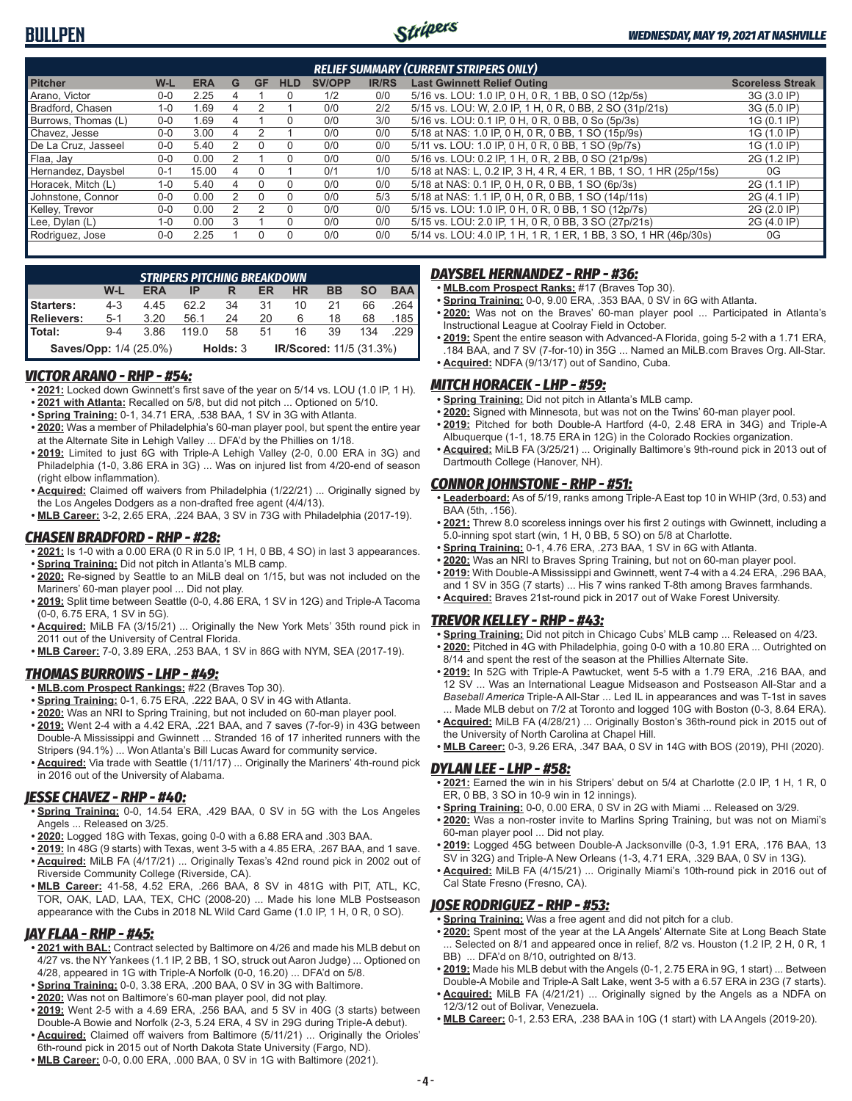

| <b>RELIEF SUMMARY (CURRENT STRIPERS ONLY)</b>                                                                            |         |       |   |    |            |               |              |                                                                    |                         |  |  |  |  |
|--------------------------------------------------------------------------------------------------------------------------|---------|-------|---|----|------------|---------------|--------------|--------------------------------------------------------------------|-------------------------|--|--|--|--|
| <b>Pitcher</b>                                                                                                           | W-L     | ERA   | G | GF | <b>HLD</b> | <b>SV/OPP</b> | <b>IR/RS</b> | <b>Last Gwinnett Relief Outing</b>                                 | <b>Scoreless Streak</b> |  |  |  |  |
| Arano, Victor                                                                                                            | $0 - 0$ | 2.25  | 4 |    | 0          | 1/2           | 0/0          | 5/16 vs. LOU: 1.0 IP, 0 H, 0 R, 1 BB, 0 SO (12p/5s)                | 3G (3.0 IP)             |  |  |  |  |
| Bradford, Chasen                                                                                                         | $1 - 0$ | .69   |   |    |            | 0/0           | 2/2          | 5/15 vs. LOU: W, 2.0 IP, 1 H, 0 R, 0 BB, 2 SO (31p/21s)            | 3G (5.0 IP)             |  |  |  |  |
| Burrows, Thomas (L)                                                                                                      | $0 - 0$ | .69   |   |    | 0          | 0/0           | 3/0          | 5/16 vs. LOU: 0.1 IP, 0 H, 0 R, 0 BB, 0 So (5p/3s)                 | 1G (0.1 IP)             |  |  |  |  |
| 5/18 at NAS: 1.0 IP, 0 H, 0 R, 0 BB, 1 SO (15p/9s)<br>1G (1.0 IP)<br>Chavez, Jesse<br>0/0<br>3.00<br>0/0<br>$0 - 0$<br>4 |         |       |   |    |            |               |              |                                                                    |                         |  |  |  |  |
| De La Cruz. Jasseel                                                                                                      | $0 - 0$ | 5.40  |   |    | 0          | 0/0           | 0/0          | 5/11 vs. LOU: 1.0 IP, 0 H, 0 R, 0 BB, 1 SO (9p/7s)                 | 1G (1.0 IP)             |  |  |  |  |
| Flaa, Jay                                                                                                                | $0 - 0$ | 0.00  |   |    | $\Omega$   | 0/0           | 0/0          | 5/16 vs. LOU: 0.2 IP, 1 H, 0 R, 2 BB, 0 SO (21p/9s)                | 2G (1.2 IP)             |  |  |  |  |
| Hernandez, Daysbel                                                                                                       | $0 - 1$ | 15.00 |   |    |            | 0/1           | 1/0          | 5/18 at NAS: L, 0.2 IP, 3 H, 4 R, 4 ER, 1 BB, 1 SO, 1 HR (25p/15s) | 0G                      |  |  |  |  |
| Horacek. Mitch (L)                                                                                                       | $1 - 0$ | 5.40  | Δ |    | $\Omega$   | 0/0           | 0/0          | 5/18 at NAS: 0.1 IP, 0 H, 0 R, 0 BB, 1 SO (6p/3s)                  | 2G (1.1 IP)             |  |  |  |  |
| Johnstone, Connor                                                                                                        | $0 - 0$ | 0.00  |   |    | 0          | 0/0           | 5/3          | 5/18 at NAS: 1.1 IP, 0 H, 0 R, 0 BB, 1 SO (14p/11s)                | 2G (4.1 IP)             |  |  |  |  |
| Kelley, Trevor                                                                                                           | $0 - 0$ | 0.00  |   |    | $\Omega$   | 0/0           | 0/0          | 5/15 vs. LOU: 1.0 IP, 0 H, 0 R, 0 BB, 1 SO (12p/7s)                | 2G (2.0 IP)             |  |  |  |  |
| Lee, Dylan (L)                                                                                                           | $1 - 0$ | 0.00  |   |    |            | 0/0           | 0/0          | 5/15 vs. LOU: 2.0 IP, 1 H, 0 R, 0 BB, 3 SO (27p/21s)               | 2G (4.0 IP)             |  |  |  |  |
| Rodriguez, Jose                                                                                                          | $0 - 0$ | 2.25  |   |    |            | 0/0           | 0/0          | 5/14 vs. LOU: 4.0 IP, 1 H, 1 R, 1 ER, 1 BB, 3 SO, 1 HR (46p/30s)   | 0G                      |  |  |  |  |
|                                                                                                                          |         |       |   |    |            |               |              |                                                                    |                         |  |  |  |  |

|                   | <b>STRIPERS PITCHING BREAKDOWN</b>                                   |            |       |    |    |    |    |     |            |  |  |  |  |
|-------------------|----------------------------------------------------------------------|------------|-------|----|----|----|----|-----|------------|--|--|--|--|
|                   | W-L                                                                  | <b>ERA</b> | IP    |    | ER | ΗR | BB | SΟ  | <b>BAA</b> |  |  |  |  |
| Starters:         | $4 - 3$                                                              | 4.45       | 62.2  | 34 | 31 | 10 | 21 | 66  | 264        |  |  |  |  |
| <b>Relievers:</b> | $5-1$                                                                | 3.20       | 56.1  | 24 | 20 |    | 18 | 68  | 185 I      |  |  |  |  |
| Total:            | $9-4$                                                                | 3.86       | 119.0 | 58 | 51 | 16 | 39 | 134 |            |  |  |  |  |
|                   | Saves/Opp: 1/4 (25.0%)<br><b>IR/Scored: 11/5 (31.3%)</b><br>Holds: 3 |            |       |    |    |    |    |     |            |  |  |  |  |

#### *VICTOR ARANO - RHP - #54:*

- **• 2021:** Locked down Gwinnett's first save of the year on 5/14 vs. LOU (1.0 IP, 1 H). **• 2021 with Atlanta:** Recalled on 5/8, but did not pitch ... Optioned on 5/10.
- **• Spring Training:** 0-1, 34.71 ERA, .538 BAA, 1 SV in 3G with Atlanta.
- **• 2020:** Was a member of Philadelphia's 60-man player pool, but spent the entire year at the Alternate Site in Lehigh Valley ... DFA'd by the Phillies on 1/18.
- **• 2019:** Limited to just 6G with Triple-A Lehigh Valley (2-0, 0.00 ERA in 3G) and Philadelphia (1-0, 3.86 ERA in 3G) ... Was on injured list from 4/20-end of season (right elbow inflammation).
- **• Acquired:** Claimed off waivers from Philadelphia (1/22/21) ... Originally signed by the Los Angeles Dodgers as a non-drafted free agent (4/4/13).
- **• MLB Career:** 3-2, 2.65 ERA, .224 BAA, 3 SV in 73G with Philadelphia (2017-19).

#### *CHASEN BRADFORD - RHP - #28:*

- **• 2021:** Is 1-0 with a 0.00 ERA (0 R in 5.0 IP, 1 H, 0 BB, 4 SO) in last 3 appearances.
- **• Spring Training:** Did not pitch in Atlanta's MLB camp.
- **• 2020:** Re-signed by Seattle to an MiLB deal on 1/15, but was not included on the Mariners' 60-man player pool ... Did not play.
- **• 2019:** Split time between Seattle (0-0, 4.86 ERA, 1 SV in 12G) and Triple-A Tacoma (0-0, 6.75 ERA, 1 SV in 5G).
- **• Acquired:** MiLB FA (3/15/21) ... Originally the New York Mets' 35th round pick in 2011 out of the University of Central Florida.
- **• MLB Career:** 7-0, 3.89 ERA, .253 BAA, 1 SV in 86G with NYM, SEA (2017-19).

#### *THOMAS BURROWS - LHP - #49:*

- **• MLB.com Prospect Rankings:** #22 (Braves Top 30).
- **• Spring Training:** 0-1, 6.75 ERA, .222 BAA, 0 SV in 4G with Atlanta.
- **• 2020:** Was an NRI to Spring Training, but not included on 60-man player pool.
- **• 2019:** Went 2-4 with a 4.42 ERA, .221 BAA, and 7 saves (7-for-9) in 43G between Double-A Mississippi and Gwinnett ... Stranded 16 of 17 inherited runners with the Stripers (94.1%) ... Won Atlanta's Bill Lucas Award for community service.
- **• Acquired:** Via trade with Seattle (1/11/17) ... Originally the Mariners' 4th-round pick in 2016 out of the University of Alabama.

## *JESSE CHAVEZ - RHP - #40:*

- **• Spring Training:** 0-0, 14.54 ERA, .429 BAA, 0 SV in 5G with the Los Angeles Angels ... Released on 3/25.
- **• 2020:** Logged 18G with Texas, going 0-0 with a 6.88 ERA and .303 BAA.
- **• 2019:** In 48G (9 starts) with Texas, went 3-5 with a 4.85 ERA, .267 BAA, and 1 save.
- **• Acquired:** MiLB FA (4/17/21) ... Originally Texas's 42nd round pick in 2002 out of Riverside Community College (Riverside, CA).
- **• MLB Career:** 41-58, 4.52 ERA, .266 BAA, 8 SV in 481G with PIT, ATL, KC, TOR, OAK, LAD, LAA, TEX, CHC (2008-20) ... Made his lone MLB Postseason appearance with the Cubs in 2018 NL Wild Card Game (1.0 IP, 1 H, 0 R, 0 SO).

## *JAY FLAA - RHP - #45:*

- **• 2021 with BAL:** Contract selected by Baltimore on 4/26 and made his MLB debut on 4/27 vs. the NY Yankees (1.1 IP, 2 BB, 1 SO, struck out Aaron Judge) ... Optioned on 4/28, appeared in 1G with Triple-A Norfolk (0-0, 16.20) ... DFA'd on 5/8.
- **• Spring Training:** 0-0, 3.38 ERA, .200 BAA, 0 SV in 3G with Baltimore.
- **• 2020:** Was not on Baltimore's 60-man player pool, did not play.
- **• 2019:** Went 2-5 with a 4.69 ERA, .256 BAA, and 5 SV in 40G (3 starts) between Double-A Bowie and Norfolk (2-3, 5.24 ERA, 4 SV in 29G during Triple-A debut). **• Acquired:** Claimed off waivers from Baltimore (5/11/21) ... Originally the Orioles'
- 6th-round pick in 2015 out of North Dakota State University (Fargo, ND).
- **• MLB Career:** 0-0, 0.00 ERA, .000 BAA, 0 SV in 1G with Baltimore (2021).

## *DAYSBEL HERNANDEZ - RHP - #36:*

- **• MLB.com Prospect Ranks:** #17 (Braves Top 30).
- **• Spring Training:** 0-0, 9.00 ERA, .353 BAA, 0 SV in 6G with Atlanta.
- **• 2020:** Was not on the Braves' 60-man player pool ... Participated in Atlanta's Instructional League at Coolray Field in October.
- **• 2019:** Spent the entire season with Advanced-A Florida, going 5-2 with a 1.71 ERA, .184 BAA, and 7 SV (7-for-10) in 35G ... Named an MiLB.com Braves Org. All-Star. **• Acquired:** NDFA (9/13/17) out of Sandino, Cuba.

#### *MITCH HORACEK - LHP - #59:*

- **• Spring Training:** Did not pitch in Atlanta's MLB camp.
- **• 2020:** Signed with Minnesota, but was not on the Twins' 60-man player pool.
- **• 2019:** Pitched for both Double-A Hartford (4-0, 2.48 ERA in 34G) and Triple-A
- Albuquerque (1-1, 18.75 ERA in 12G) in the Colorado Rockies organization. **• Acquired:** MiLB FA (3/25/21) ... Originally Baltimore's 9th-round pick in 2013 out of Dartmouth College (Hanover, NH).

#### *CONNOR JOHNSTONE - RHP - #51:*

- **• Leaderboard:** As of 5/19, ranks among Triple-A East top 10 in WHIP (3rd, 0.53) and BAA (5th, .156).
- **• 2021:** Threw 8.0 scoreless innings over his first 2 outings with Gwinnett, including a 5.0-inning spot start (win, 1 H, 0 BB, 5 SO) on 5/8 at Charlotte.
- **• Spring Training:** 0-1, 4.76 ERA, .273 BAA, 1 SV in 6G with Atlanta.
- **• 2020:** Was an NRI to Braves Spring Training, but not on 60-man player pool.
- **• 2019:** With Double-A Mississippi and Gwinnett, went 7-4 with a 4.24 ERA, .296 BAA, and 1 SV in 35G (7 starts) ... His 7 wins ranked T-8th among Braves farmhands. **• Acquired:** Braves 21st-round pick in 2017 out of Wake Forest University.

#### *TREVOR KELLEY - RHP - #43:*

- **• Spring Training:** Did not pitch in Chicago Cubs' MLB camp ... Released on 4/23. **• 2020:** Pitched in 4G with Philadelphia, going 0-0 with a 10.80 ERA ... Outrighted on
- 8/14 and spent the rest of the season at the Phillies Alternate Site. **• 2019:** In 52G with Triple-A Pawtucket, went 5-5 with a 1.79 ERA, .216 BAA, and 12 SV ... Was an International League Midseason and Postseason All-Star and a *Baseball America* Triple-A All-Star ... Led IL in appearances and was T-1st in saves
- Made MLB debut on 7/2 at Toronto and logged 10G with Boston (0-3, 8.64 ERA). **• Acquired:** MiLB FA (4/28/21) ... Originally Boston's 36th-round pick in 2015 out of the University of North Carolina at Chapel Hill.
- **• MLB Career:** 0-3, 9.26 ERA, .347 BAA, 0 SV in 14G with BOS (2019), PHI (2020).

#### *DYLAN LEE - LHP - #58:*

- **• 2021:** Earned the win in his Stripers' debut on 5/4 at Charlotte (2.0 IP, 1 H, 1 R, 0 ER, 0 BB, 3 SO in 10-9 win in 12 innings).
- **• Spring Training:** 0-0, 0.00 ERA, 0 SV in 2G with Miami ... Released on 3/29.
- **• 2020:** Was a non-roster invite to Marlins Spring Training, but was not on Miami's 60-man player pool ... Did not play.
- **• 2019:** Logged 45G between Double-A Jacksonville (0-3, 1.91 ERA, .176 BAA, 13 SV in 32G) and Triple-A New Orleans (1-3, 4.71 ERA, .329 BAA, 0 SV in 13G).
- **• Acquired:** MiLB FA (4/15/21) ... Originally Miami's 10th-round pick in 2016 out of Cal State Fresno (Fresno, CA).

#### *JOSE RODRIGUEZ - RHP - #53:*

- **• Spring Training:** Was a free agent and did not pitch for a club.
- **• 2020:** Spent most of the year at the LA Angels' Alternate Site at Long Beach State ... Selected on 8/1 and appeared once in relief, 8/2 vs. Houston (1.2 IP, 2 H, 0 R, 1 BB) ... DFA'd on 8/10, outrighted on 8/13.
- **• 2019:** Made his MLB debut with the Angels (0-1, 2.75 ERA in 9G, 1 start) ... Between Double-A Mobile and Triple-A Salt Lake, went 3-5 with a 6.57 ERA in 23G (7 starts).
- **• Acquired:** MiLB FA (4/21/21) ... Originally signed by the Angels as a NDFA on 12/3/12 out of Bolivar, Venezuela.
- **• MLB Career:** 0-1, 2.53 ERA, .238 BAA in 10G (1 start) with LA Angels (2019-20).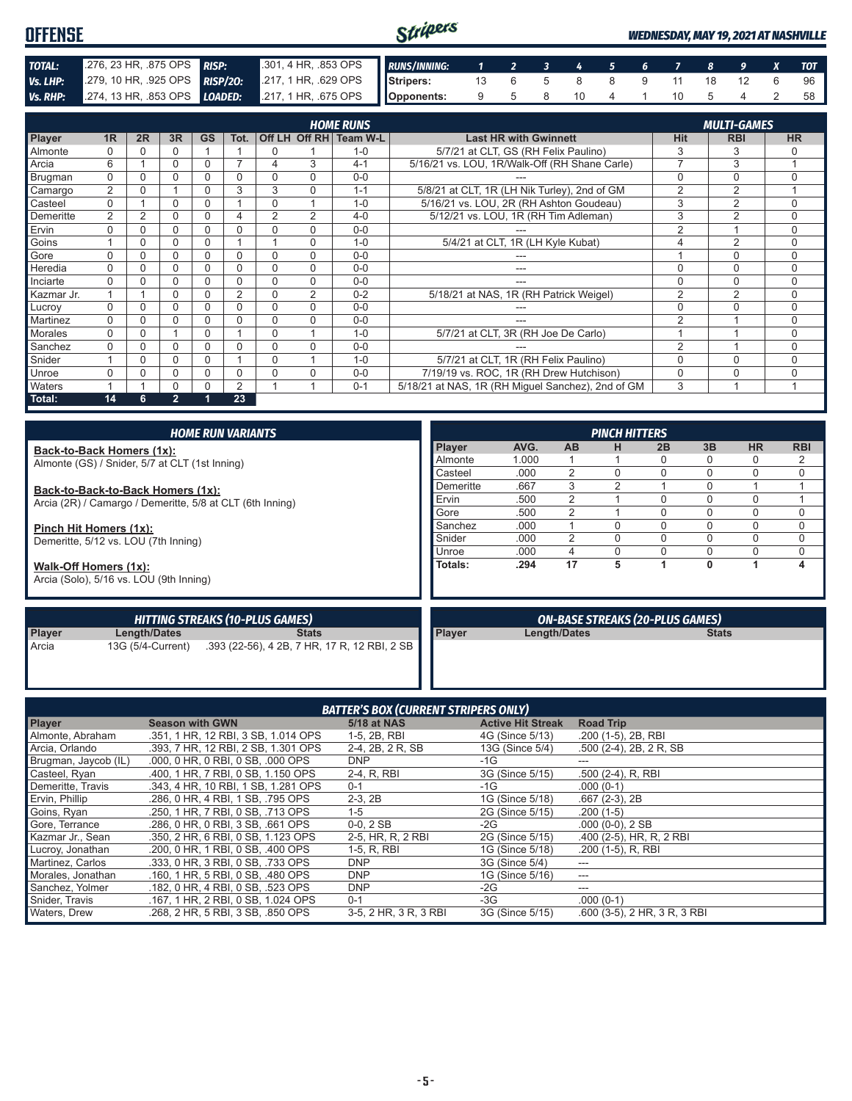| <b>OFFENSE</b> |                                                                    |                                                         | Stripers |  |  |  |            |  |  | <b>WEDNESDAY, MAY 19, 2021 AT NASHVILLE</b> |      |  |  |  |  |
|----------------|--------------------------------------------------------------------|---------------------------------------------------------|----------|--|--|--|------------|--|--|---------------------------------------------|------|--|--|--|--|
| <b>TOTAL:</b>  | 276, 23 HR, 875 OPS RISP:                                          | 301, 4 HR, 853 OPS RUNS/INNING: 1 2 3 4 5 6 7 8 9 X TOT |          |  |  |  |            |  |  |                                             |      |  |  |  |  |
| Vs. LHP:       | 279, 10 HR, 925 OPS RISP/20:                                       | 217, 1 HR, 629 OPS Seripers: 13 6 5 8 8 9 11 18 12 6    |          |  |  |  |            |  |  |                                             |      |  |  |  |  |
|                | Vs. RHP: 274, 13 HR, 853 OPS LOADED: 217, 1 HR, 675 OPS Opponents: |                                                         |          |  |  |  | 9 5 8 10 4 |  |  |                                             | 10 5 |  |  |  |  |

|            |                |          | <b>MULTI-GAMES</b> |           |                |                |                |                        |                                                   |                |                |           |
|------------|----------------|----------|--------------------|-----------|----------------|----------------|----------------|------------------------|---------------------------------------------------|----------------|----------------|-----------|
| Player     | 1 <sub>R</sub> | 2R       | 3R                 | <b>GS</b> | Tot.           |                |                | Off LH Off RH Team W-L | <b>Last HR with Gwinnett</b>                      | Hit            | <b>RBI</b>     | <b>HR</b> |
| Almonte    | $\Omega$       |          | 0                  |           |                | 0              |                | $1 - 0$                | 5/7/21 at CLT, GS (RH Felix Paulino)              | 3              | 3              |           |
| Arcia      | 6              |          | 0                  | 0         | ⇁              |                | 3              | $4 - 1$                | 5/16/21 vs. LOU, 1R/Walk-Off (RH Shane Carle)     | $\overline{7}$ | 3              |           |
| Brugman    | $\Omega$       |          | 0                  |           |                | $\Omega$       | $\Omega$       | $0 - 0$                |                                                   | 0              | 0              | 0         |
| Camargo    | 2              | $\Omega$ |                    | 0         | 3              | 3              | $\Omega$       | $1 - 1$                | 5/8/21 at CLT, 1R (LH Nik Turley), 2nd of GM      | $\overline{2}$ | $\overline{2}$ |           |
| Casteel    | $\Omega$       |          |                    |           |                | $\Omega$       |                | $1 - 0$                | 5/16/21 vs. LOU, 2R (RH Ashton Goudeau)           | 3              | $\overline{2}$ | $\Omega$  |
| Demeritte  | $\overline{2}$ | 2        | 0                  | 0         |                | $\overline{2}$ | 2              | $4 - 0$                | 5/12/21 vs. LOU, 1R (RH Tim Adleman)              | 3              | $\overline{2}$ | 0         |
| Ervin      | $\Omega$       |          | 0                  |           |                | $\Omega$       | $\Omega$       | $0 - 0$                |                                                   | 2              |                | 0         |
| Goins      |                | $\Omega$ | 0                  | 0         |                |                | $\Omega$       | $1 - 0$                | 5/4/21 at CLT, 1R (LH Kyle Kubat)                 | 4              | $\overline{2}$ | $\Omega$  |
| Gore       | $\Omega$       |          | 0                  | $\Omega$  | $\Omega$       | 0              | $\Omega$       | $0 - 0$                |                                                   |                | 0              | 0         |
| Heredia    | 0              |          |                    |           |                | 0              | 0              | $0 - 0$                | ---                                               | 0              | 0              | 0         |
| Inciarte   | $\Omega$       |          | 0                  |           | 0              | $\Omega$       | $\Omega$       | $0 - 0$                |                                                   | $\Omega$       | $\Omega$       | $\Omega$  |
| Kazmar Jr. |                |          | 0                  |           | 2              | 0              | $\overline{2}$ | $0 - 2$                | 5/18/21 at NAS, 1R (RH Patrick Weigel)            | $\overline{2}$ | $\overline{2}$ | 0         |
| Lucroy     | $\Omega$       |          | 0                  |           | U              | 0              | $\Omega$       | $0 - 0$                |                                                   | $\Omega$       | $\Omega$       | $\Omega$  |
| Martinez   | $\Omega$       |          | 0                  | 0         | 0              | $\Omega$       | $\Omega$       | $0 - 0$                |                                                   | $\overline{2}$ |                | 0         |
| Morales    | $\Omega$       |          |                    | 0         |                | $\Omega$       |                | $1 - 0$                | 5/7/21 at CLT, 3R (RH Joe De Carlo)               |                |                | 0         |
| Sanchez    | $\Omega$       |          | 0                  | 0         | 0              | $\Omega$       | $\Omega$       | $0 - 0$                |                                                   | $\overline{2}$ |                | 0         |
| Snider     |                |          | 0                  | $\Omega$  |                | $\Omega$       |                | $1 - 0$                | 5/7/21 at CLT, 1R (RH Felix Paulino)              | $\Omega$       | $\Omega$       | $\Omega$  |
| Unroe      | $\Omega$       |          | 0                  | 0         | 0              | $\Omega$       | $\Omega$       | $0 - 0$                | 7/19/19 vs. ROC, 1R (RH Drew Hutchison)           | $\mathbf 0$    | 0              | 0         |
| Waters     |                |          |                    |           | $\overline{2}$ |                |                | $0 - 1$                | 5/18/21 at NAS, 1R (RH Miguel Sanchez), 2nd of GM | 3              |                |           |
| Total:     | 14             | 6        | 2                  |           | 23             |                |                |                        |                                                   |                |                |           |

| <b>HOME RUN VARIANTS</b>                                  |                                                                |               |       |                | <b>PINCH HITTERS</b> |                                        |              |           |            |
|-----------------------------------------------------------|----------------------------------------------------------------|---------------|-------|----------------|----------------------|----------------------------------------|--------------|-----------|------------|
| Back-to-Back Homers (1x):                                 |                                                                | <b>Player</b> | AVG.  | <b>AB</b>      | н                    | 2B                                     | 3B           | <b>HR</b> | <b>RBI</b> |
| Almonte (GS) / Snider, 5/7 at CLT (1st Inning)            |                                                                | Almonte       | 1.000 |                |                      | 0                                      | 0            | 0         | 2          |
|                                                           |                                                                | Casteel       | .000  | 2              | $\Omega$             | 0                                      | $\Omega$     | $\Omega$  | 0          |
| Back-to-Back-to-Back Homers (1x):                         |                                                                | Demeritte     | .667  | 3              | 2                    |                                        | $\Omega$     |           |            |
| Arcia (2R) / Camargo / Demeritte, 5/8 at CLT (6th Inning) |                                                                | Ervin         | .500  | $\overline{2}$ |                      | 0                                      | $\Omega$     | $\Omega$  |            |
|                                                           |                                                                | Gore          | .500  | 2              |                      | 0                                      | $\Omega$     | $\Omega$  | 0          |
| Pinch Hit Homers (1x):                                    |                                                                | Sanchez       | .000  |                | 0                    | 0                                      | $\Omega$     | $\Omega$  | 0          |
| Demeritte, 5/12 vs. LOU (7th Inning)                      |                                                                | Snider        | .000  | 2              | 0                    | 0                                      | 0            | $\Omega$  | 0          |
|                                                           |                                                                | Unroe         | .000  | 4              | 0                    | 0                                      | 0            | 0         | 0          |
| Walk-Off Homers (1x):                                     |                                                                | Totals:       | .294  | 17             | 5                    |                                        | 0            |           | 4          |
| Arcia (Solo), 5/16 vs. LOU (9th Inning)                   |                                                                |               |       |                |                      |                                        |              |           |            |
|                                                           |                                                                |               |       |                |                      |                                        |              |           |            |
|                                                           |                                                                |               |       |                |                      |                                        |              |           |            |
| <b>HITTING STREAKS (10-PLUS GAMES)</b>                    |                                                                |               |       |                |                      | <b>ON-BASE STREAKS (20-PLUS GAMES)</b> |              |           |            |
| <b>Player</b><br>Length/Dates                             | <b>Stats</b>                                                   | <b>Player</b> |       | Length/Dates   |                      |                                        | <b>Stats</b> |           |            |
| Arcia                                                     | 13G (5/4-Current) .393 (22-56), 4 2B, 7 HR, 17 R, 12 RBI, 2 SB |               |       |                |                      |                                        |              |           |            |
|                                                           |                                                                |               |       |                |                      |                                        |              |           |            |
|                                                           |                                                                |               |       |                |                      |                                        |              |           |            |

| <b>BATTER'S BOX (CURRENT STRIPERS ONLY)</b> |                                     |                       |                          |                              |
|---------------------------------------------|-------------------------------------|-----------------------|--------------------------|------------------------------|
| <b>Player</b>                               | <b>Season with GWN</b>              | 5/18 at NAS           | <b>Active Hit Streak</b> | <b>Road Trip</b>             |
| Almonte, Abraham                            | .351, 1 HR, 12 RBI, 3 SB, 1.014 OPS | 1-5, 2B, RBI          | 4G (Since 5/13)          | .200 (1-5), 2B, RBI          |
| Arcia, Orlando                              | .393. 7 HR. 12 RBI. 2 SB. 1.301 OPS | 2-4, 2B, 2R, SB       | 13G (Since 5/4)          | .500 (2-4), 2B, 2R, SB       |
| Brugman, Jaycob (IL)                        | .000, 0 HR, 0 RBI, 0 SB, .000 OPS   | <b>DNP</b>            | $-1G$                    | ---                          |
| Casteel, Ryan                               | .400, 1 HR, 7 RBI, 0 SB, 1.150 OPS  | 2-4, R, RBI           | 3G (Since 5/15)          | .500 (2-4), R, RBI           |
| Demeritte, Travis                           | .343, 4 HR, 10 RBI, 1 SB, 1.281 OPS | $0 - 1$               | -1G                      | $.000(0-1)$                  |
| Ervin, Phillip                              | .286, 0 HR, 4 RBI, 1 SB, .795 OPS   | $2-3, 2B$             | 1G (Since 5/18)          | $.667(2-3), 2B$              |
| Goins, Ryan                                 | .250. 1 HR. 7 RBI. 0 SB. .713 OPS   | $1 - 5$               | 2G (Since 5/15)          | $.200(1-5)$                  |
| Gore, Terrance                              | .286, 0 HR, 0 RBI, 3 SB, .661 OPS   | $0-0.2$ SB            | -2G                      | $.000(0-0), 2SB$             |
| Kazmar Jr., Sean                            | .350, 2 HR, 6 RBI, 0 SB, 1.123 OPS  | 2-5, HR, R, 2 RBI     | 2G (Since 5/15)          | .400 (2-5), HR, R, 2 RBI     |
| Lucroy, Jonathan                            | .200, 0 HR, 1 RBI, 0 SB, .400 OPS   | 1-5, R, RBI           | 1G (Since 5/18)          | $.200(1-5)$ , R, RBI         |
| Martinez, Carlos                            | .333. 0 HR. 3 RBI. 0 SB. .733 OPS   | <b>DNP</b>            | 3G (Since 5/4)           | ---                          |
| Morales, Jonathan                           | .160. 1 HR. 5 RBI. 0 SB. .480 OPS   | <b>DNP</b>            | 1G (Since 5/16)          | ---                          |
| Sanchez, Yolmer                             | .182, 0 HR, 4 RBI, 0 SB, .523 OPS   | <b>DNP</b>            | -2G                      | ---                          |
| Snider, Travis                              | .167. 1 HR. 2 RBI. 0 SB. 1.024 OPS  | $0 - 1$               | -3G                      | $.000(0-1)$                  |
| <b>Waters, Drew</b>                         | .268, 2 HR, 5 RBI, 3 SB, .850 OPS   | 3-5, 2 HR, 3 R, 3 RBI | 3G (Since 5/15)          | .600 (3-5), 2 HR, 3 R, 3 RBI |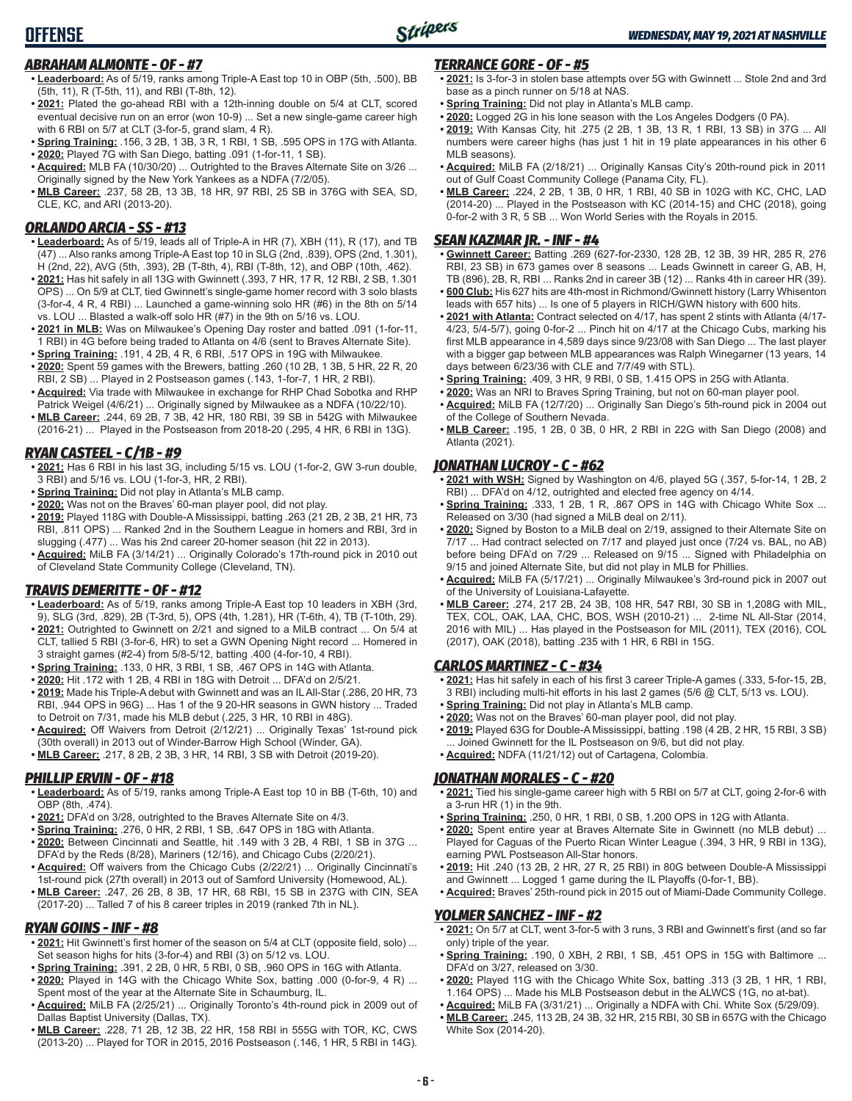## *ABRAHAM ALMONTE - OF - #7*

- **• Leaderboard:** As of 5/19, ranks among Triple-A East top 10 in OBP (5th, .500), BB (5th, 11), R (T-5th, 11), and RBI (T-8th, 12).
- **• 2021:** Plated the go-ahead RBI with a 12th-inning double on 5/4 at CLT, scored eventual decisive run on an error (won 10-9) ... Set a new single-game career high with 6 RBI on 5/7 at CLT (3-for-5, grand slam, 4 R).
- **• Spring Training:** .156, 3 2B, 1 3B, 3 R, 1 RBI, 1 SB, .595 OPS in 17G with Atlanta.
- **• 2020:** Played 7G with San Diego, batting .091 (1-for-11, 1 SB). **• Acquired:** MLB FA (10/30/20) ... Outrighted to the Braves Alternate Site on 3/26 ...
- Originally signed by the New York Yankees as a NDFA (7/2/05).
- **• MLB Career:** .237, 58 2B, 13 3B, 18 HR, 97 RBI, 25 SB in 376G with SEA, SD, CLE, KC, and ARI (2013-20).

## *ORLANDO ARCIA - SS - #13*

- **• Leaderboard:** As of 5/19, leads all of Triple-A in HR (7), XBH (11), R (17), and TB (47) ... Also ranks among Triple-A East top 10 in SLG (2nd, .839), OPS (2nd, 1.301), H (2nd, 22), AVG (5th, .393), 2B (T-8th, 4), RBI (T-8th, 12), and OBP (10th, .462).
- **• 2021:** Has hit safely in all 13G with Gwinnett (.393, 7 HR, 17 R, 12 RBI, 2 SB, 1.301 OPS) ... On 5/9 at CLT, tied Gwinnett's single-game homer record with 3 solo blasts (3-for-4, 4 R, 4 RBI) ... Launched a game-winning solo HR (#6) in the 8th on 5/14 vs. LOU ... Blasted a walk-off solo HR (#7) in the 9th on 5/16 vs. LOU.
- **• 2021 in MLB:** Was on Milwaukee's Opening Day roster and batted .091 (1-for-11, 1 RBI) in 4G before being traded to Atlanta on 4/6 (sent to Braves Alternate Site).
- **• Spring Training:** .191, 4 2B, 4 R, 6 RBI, .517 OPS in 19G with Milwaukee. **• 2020:** Spent 59 games with the Brewers, batting .260 (10 2B, 1 3B, 5 HR, 22 R, 20 RBI, 2 SB) ... Played in 2 Postseason games (.143, 1-for-7, 1 HR, 2 RBI).
- **• Acquired:** Via trade with Milwaukee in exchange for RHP Chad Sobotka and RHP Patrick Weigel (4/6/21) ... Originally signed by Milwaukee as a NDFA (10/22/10).
- **• MLB Career:** .244, 69 2B, 7 3B, 42 HR, 180 RBI, 39 SB in 542G with Milwaukee (2016-21) ... Played in the Postseason from 2018-20 (.295, 4 HR, 6 RBI in 13G).

## *RYAN CASTEEL - C/1B - #9*

- **• 2021:** Has 6 RBI in his last 3G, including 5/15 vs. LOU (1-for-2, GW 3-run double, 3 RBI) and 5/16 vs. LOU (1-for-3, HR, 2 RBI).
- **• Spring Training:** Did not play in Atlanta's MLB camp.
- **• 2020:** Was not on the Braves' 60-man player pool, did not play.
- **• 2019:** Played 118G with Double-A Mississippi, batting .263 (21 2B, 2 3B, 21 HR, 73 RBI, .811 OPS) ... Ranked 2nd in the Southern League in homers and RBI, 3rd in slugging (.477) ... Was his 2nd career 20-homer season (hit 22 in 2013).
- **• Acquired:** MiLB FA (3/14/21) ... Originally Colorado's 17th-round pick in 2010 out of Cleveland State Community College (Cleveland, TN).

## *TRAVIS DEMERITTE - OF - #12*

- **• Leaderboard:** As of 5/19, ranks among Triple-A East top 10 leaders in XBH (3rd, 9), SLG (3rd, .829), 2B (T-3rd, 5), OPS (4th, 1.281), HR (T-6th, 4), TB (T-10th, 29).
- **• 2021:** Outrighted to Gwinnett on 2/21 and signed to a MiLB contract ... On 5/4 at CLT, tallied 5 RBI (3-for-6, HR) to set a GWN Opening Night record ... Homered in 3 straight games (#2-4) from 5/8-5/12, batting .400 (4-for-10, 4 RBI).
- **• Spring Training:** .133, 0 HR, 3 RBI, 1 SB, .467 OPS in 14G with Atlanta.
- **• 2020:** Hit .172 with 1 2B, 4 RBI in 18G with Detroit ... DFA'd on 2/5/21.
- **• 2019:** Made his Triple-A debut with Gwinnett and was an IL All-Star (.286, 20 HR, 73 RBI, .944 OPS in 96G) ... Has 1 of the 9 20-HR seasons in GWN history ... Traded to Detroit on 7/31, made his MLB debut (.225, 3 HR, 10 RBI in 48G).
- **• Acquired:** Off Waivers from Detroit (2/12/21) ... Originally Texas' 1st-round pick (30th overall) in 2013 out of Winder-Barrow High School (Winder, GA).
- **• MLB Career:** .217, 8 2B, 2 3B, 3 HR, 14 RBI, 3 SB with Detroit (2019-20).

## *PHILLIP ERVIN - OF - #18*

- **• Leaderboard:** As of 5/19, ranks among Triple-A East top 10 in BB (T-6th, 10) and OBP (8th, .474).
- **• 2021:** DFA'd on 3/28, outrighted to the Braves Alternate Site on 4/3.
- **• Spring Training:** .276, 0 HR, 2 RBI, 1 SB, .647 OPS in 18G with Atlanta.
- **• 2020:** Between Cincinnati and Seattle, hit .149 with 3 2B, 4 RBI, 1 SB in 37G ... DFA'd by the Reds (8/28), Mariners (12/16), and Chicago Cubs (2/20/21).
- **• Acquired:** Off waivers from the Chicago Cubs (2/22/21) ... Originally Cincinnati's 1st-round pick (27th overall) in 2013 out of Samford University (Homewood, AL).
- **• MLB Career:** .247, 26 2B, 8 3B, 17 HR, 68 RBI, 15 SB in 237G with CIN, SEA (2017-20) ... Talled 7 of his 8 career triples in 2019 (ranked 7th in NL).

## *RYAN GOINS - INF - #8*

- **• 2021:** Hit Gwinnett's first homer of the season on 5/4 at CLT (opposite field, solo) ... Set season highs for hits (3-for-4) and RBI (3) on 5/12 vs. LOU.
- **• Spring Training:** .391, 2 2B, 0 HR, 5 RBI, 0 SB, .960 OPS in 16G with Atlanta.
- **• 2020:** Played in 14G with the Chicago White Sox, batting .000 (0-for-9, 4 R) ... Spent most of the year at the Alternate Site in Schaumburg, IL.
- **• Acquired:** MiLB FA (2/25/21) ... Originally Toronto's 4th-round pick in 2009 out of Dallas Baptist University (Dallas, TX).
- **• MLB Career:** .228, 71 2B, 12 3B, 22 HR, 158 RBI in 555G with TOR, KC, CWS (2013-20) ... Played for TOR in 2015, 2016 Postseason (.146, 1 HR, 5 RBI in 14G).

## *TERRANCE GORE - OF - #5*

- **• 2021:** Is 3-for-3 in stolen base attempts over 5G with Gwinnett ... Stole 2nd and 3rd base as a pinch runner on 5/18 at NAS.
- **• Spring Training:** Did not play in Atlanta's MLB camp.
- **• 2020:** Logged 2G in his lone season with the Los Angeles Dodgers (0 PA).
- **• 2019:** With Kansas City, hit .275 (2 2B, 1 3B, 13 R, 1 RBI, 13 SB) in 37G ... All numbers were career highs (has just 1 hit in 19 plate appearances in his other 6 MLB seasons).
- **• Acquired:** MiLB FA (2/18/21) ... Originally Kansas City's 20th-round pick in 2011 out of Gulf Coast Community College (Panama City, FL).
- **• MLB Career:** .224, 2 2B, 1 3B, 0 HR, 1 RBI, 40 SB in 102G with KC, CHC, LAD (2014-20) ... Played in the Postseason with KC (2014-15) and CHC (2018), going 0-for-2 with 3 R, 5 SB ... Won World Series with the Royals in 2015.

## *SEAN KAZMAR JR. - INF - #4*

- **• Gwinnett Career:** Batting .269 (627-for-2330, 128 2B, 12 3B, 39 HR, 285 R, 276 RBI, 23 SB) in 673 games over 8 seasons ... Leads Gwinnett in career G, AB, H, TB (896), 2B, R, RBI ... Ranks 2nd in career 3B (12) ... Ranks 4th in career HR (39).
- **• 600 Club:** His 627 hits are 4th-most in Richmond/Gwinnett history (Larry Whisenton leads with 657 hits) ... Is one of 5 players in RICH/GWN history with 600 hits.
- **• 2021 with Atlanta:** Contract selected on 4/17, has spent 2 stints with Atlanta (4/17- 4/23, 5/4-5/7), going 0-for-2 ... Pinch hit on 4/17 at the Chicago Cubs, marking his first MLB appearance in 4,589 days since 9/23/08 with San Diego ... The last player with a bigger gap between MLB appearances was Ralph Winegarner (13 years, 14 days between 6/23/36 with CLE and 7/7/49 with STL).
- **• Spring Training:** .409, 3 HR, 9 RBI, 0 SB, 1.415 OPS in 25G with Atlanta.
- **• 2020:** Was an NRI to Braves Spring Training, but not on 60-man player pool.
- **• Acquired:** MiLB FA (12/7/20) ... Originally San Diego's 5th-round pick in 2004 out of the College of Southern Nevada.
- **• MLB Career:** .195, 1 2B, 0 3B, 0 HR, 2 RBI in 22G with San Diego (2008) and Atlanta (2021).

## *JONATHAN LUCROY - C - #62*

- **• 2021 with WSH:** Signed by Washington on 4/6, played 5G (.357, 5-for-14, 1 2B, 2 RBI) ... DFA'd on 4/12, outrighted and elected free agency on 4/14.
- **• Spring Training:** .333, 1 2B, 1 R, .867 OPS in 14G with Chicago White Sox ... Released on 3/30 (had signed a MiLB deal on 2/11).
- **• 2020:** Signed by Boston to a MiLB deal on 2/19, assigned to their Alternate Site on 7/17 ... Had contract selected on 7/17 and played just once (7/24 vs. BAL, no AB) before being DFA'd on 7/29 ... Released on 9/15 ... Signed with Philadelphia on 9/15 and joined Alternate Site, but did not play in MLB for Phillies.
- **• Acquired:** MiLB FA (5/17/21) ... Originally Milwaukee's 3rd-round pick in 2007 out of the University of Louisiana-Lafayette.
- **• MLB Career:** .274, 217 2B, 24 3B, 108 HR, 547 RBI, 30 SB in 1,208G with MIL, TEX, COL, OAK, LAA, CHC, BOS, WSH (2010-21) ... 2-time NL All-Star (2014, 2016 with MIL) ... Has played in the Postseason for MIL (2011), TEX (2016), COL (2017), OAK (2018), batting .235 with 1 HR, 6 RBI in 15G.

## *CARLOS MARTINEZ - C - #34*

- **• 2021:** Has hit safely in each of his first 3 career Triple-A games (.333, 5-for-15, 2B, 3 RBI) including multi-hit efforts in his last 2 games (5/6 @ CLT, 5/13 vs. LOU).
- **• Spring Training:** Did not play in Atlanta's MLB camp.
- **• 2020:** Was not on the Braves' 60-man player pool, did not play.
- **• 2019:** Played 63G for Double-A Mississippi, batting .198 (4 2B, 2 HR, 15 RBI, 3 SB) Joined Gwinnett for the IL Postseason on 9/6, but did not play. **• Acquired:** NDFA (11/21/12) out of Cartagena, Colombia.

## *JONATHAN MORALES - C - #20*

- **• 2021:** Tied his single-game career high with 5 RBI on 5/7 at CLT, going 2-for-6 with a 3-run HR (1) in the 9th.
- **• Spring Training:** .250, 0 HR, 1 RBI, 0 SB, 1.200 OPS in 12G with Atlanta.
- **• 2020:** Spent entire year at Braves Alternate Site in Gwinnett (no MLB debut) ... Played for Caguas of the Puerto Rican Winter League (.394, 3 HR, 9 RBI in 13G), earning PWL Postseason All-Star honors.
- **• 2019:** Hit .240 (13 2B, 2 HR, 27 R, 25 RBI) in 80G between Double-A Mississippi and Gwinnett ... Logged 1 game during the IL Playoffs (0-for-1, BB).
- **• Acquired:** Braves' 25th-round pick in 2015 out of Miami-Dade Community College.

### *YOLMER SANCHEZ - INF - #2*

- **• 2021:** On 5/7 at CLT, went 3-for-5 with 3 runs, 3 RBI and Gwinnett's first (and so far only) triple of the year.
- **• Spring Training:** .190, 0 XBH, 2 RBI, 1 SB, .451 OPS in 15G with Baltimore ... DFA'd on 3/27, released on 3/30.
- **• 2020:** Played 11G with the Chicago White Sox, batting .313 (3 2B, 1 HR, 1 RBI, 1.164 OPS) ... Made his MLB Postseason debut in the ALWCS (1G, no at-bat).
- **• Acquired:** MiLB FA (3/31/21) ... Originally a NDFA with Chi. White Sox (5/29/09).
- **• MLB Career:** .245, 113 2B, 24 3B, 32 HR, 215 RBI, 30 SB in 657G with the Chicago White Sox (2014-20).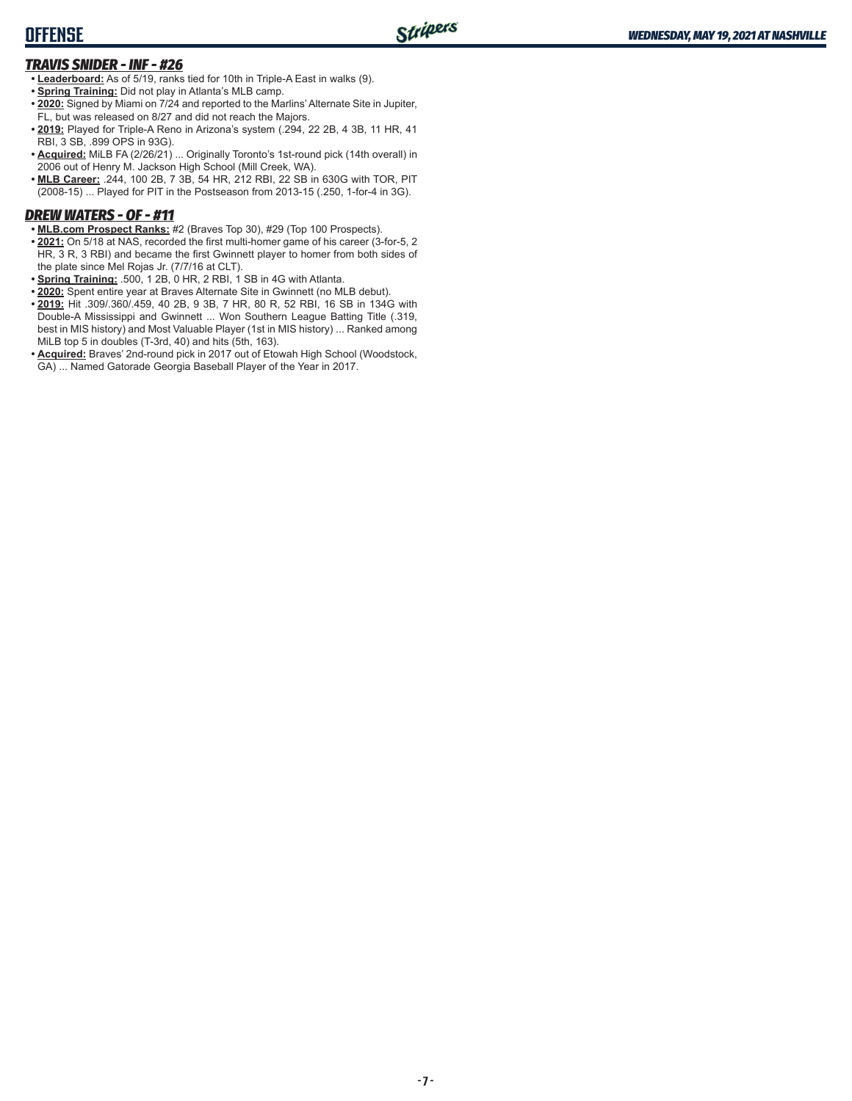# **OFFENSE**

## *TRAVIS SNIDER - INF - #26*

- **• Leaderboard:** As of 5/19, ranks tied for 10th in Triple-A East in walks (9).
- **• Spring Training:** Did not play in Atlanta's MLB camp.
- **• 2020:** Signed by Miami on 7/24 and reported to the Marlins' Alternate Site in Jupiter, FL, but was released on 8/27 and did not reach the Majors.
- **• 2019:** Played for Triple-A Reno in Arizona's system (.294, 22 2B, 4 3B, 11 HR, 41 RBI, 3 SB, .899 OPS in 93G).
- **• Acquired:** MiLB FA (2/26/21) ... Originally Toronto's 1st-round pick (14th overall) in 2006 out of Henry M. Jackson High School (Mill Creek, WA).
- **• MLB Career:** .244, 100 2B, 7 3B, 54 HR, 212 RBI, 22 SB in 630G with TOR, PIT (2008-15) ... Played for PIT in the Postseason from 2013-15 (.250, 1-for-4 in 3G).

## *DREW WATERS - OF - #11*

- **• MLB.com Prospect Ranks:** #2 (Braves Top 30), #29 (Top 100 Prospects).
- **• 2021:** On 5/18 at NAS, recorded the first multi-homer game of his career (3-for-5, 2 HR, 3 R, 3 RBI) and became the first Gwinnett player to homer from both sides of the plate since Mel Rojas Jr. (7/7/16 at CLT).
- **• Spring Training:** .500, 1 2B, 0 HR, 2 RBI, 1 SB in 4G with Atlanta.
- **• 2020:** Spent entire year at Braves Alternate Site in Gwinnett (no MLB debut).
- **• 2019:** Hit .309/.360/.459, 40 2B, 9 3B, 7 HR, 80 R, 52 RBI, 16 SB in 134G with Double-A Mississippi and Gwinnett ... Won Southern League Batting Title (.319, best in MIS history) and Most Valuable Player (1st in MIS history) ... Ranked among MiLB top 5 in doubles (T-3rd, 40) and hits (5th, 163).
- **• Acquired:** Braves' 2nd-round pick in 2017 out of Etowah High School (Woodstock, GA) ... Named Gatorade Georgia Baseball Player of the Year in 2017.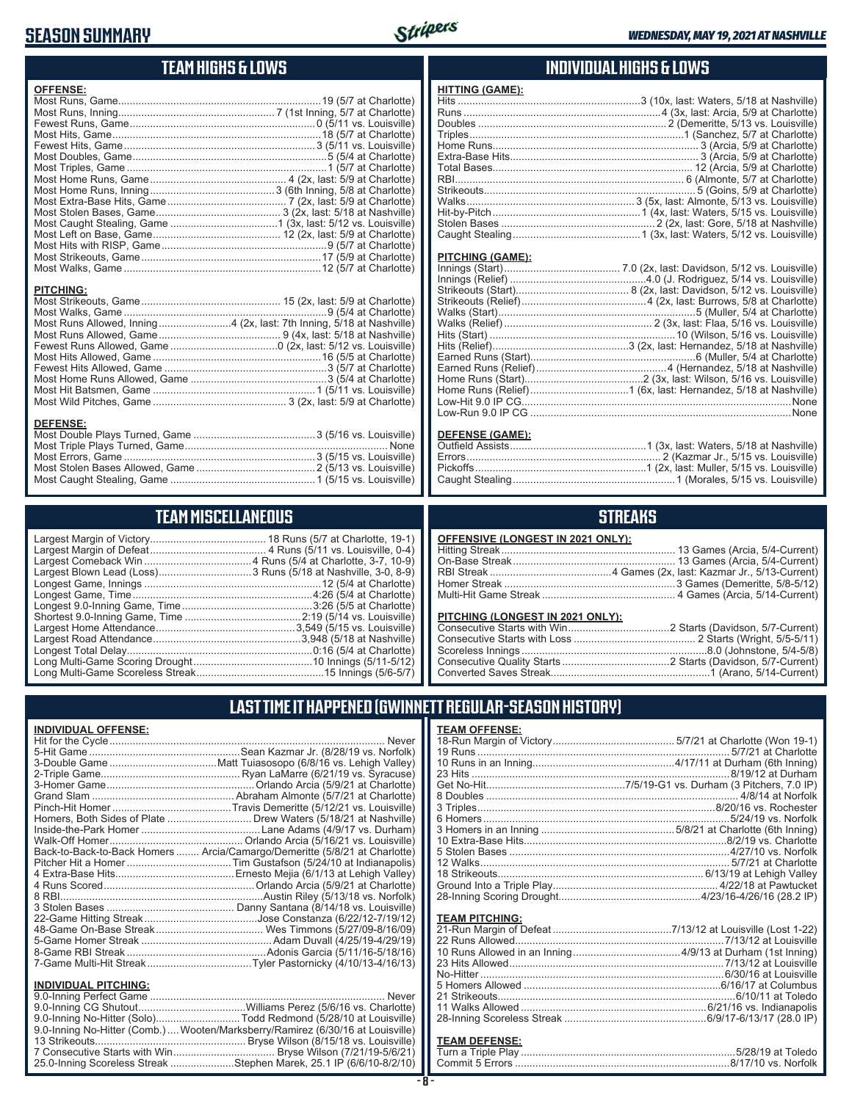# **SEASON SUMMARY**



# **TEAM HIGHS & LOWS**

| <b>OFFENSE:</b>                                                      |  |
|----------------------------------------------------------------------|--|
|                                                                      |  |
|                                                                      |  |
|                                                                      |  |
|                                                                      |  |
|                                                                      |  |
|                                                                      |  |
|                                                                      |  |
|                                                                      |  |
|                                                                      |  |
|                                                                      |  |
|                                                                      |  |
|                                                                      |  |
|                                                                      |  |
|                                                                      |  |
|                                                                      |  |
|                                                                      |  |
| <b>PITCHING:</b>                                                     |  |
|                                                                      |  |
|                                                                      |  |
| Most Runs Allowed, Inning4 (2x, last: 7th Inning, 5/18 at Nashville) |  |
|                                                                      |  |
|                                                                      |  |
|                                                                      |  |
|                                                                      |  |
|                                                                      |  |
|                                                                      |  |
|                                                                      |  |
|                                                                      |  |
| <b>DEFENSE:</b>                                                      |  |
|                                                                      |  |
|                                                                      |  |

## **TEAM MISCELLANEOUS**

Most Stolen Bases Allowed, Game .........................................2 (5/13 vs. Louisville) Most Caught Stealing, Game ..................................................1 (5/15 vs. Louisville)

## **INDIVIDUAL HIGHS & LOWS**

#### **PITCHING (GAME):**

#### **DEFENSE (GAME):**

# **STREAKS**

| <b>OFFENSIVE (LONGEST IN 2021 ONLY):</b> |  |
|------------------------------------------|--|
|                                          |  |
|                                          |  |
|                                          |  |
|                                          |  |
|                                          |  |
|                                          |  |

#### **PITCHING (LONGEST IN 2021 ONLY):**

# **LAST TIME IT HAPPENED (GWINNETT REGULAR-SEASON HISTORY)**

| <b>INDIVIDUAL OFFENSE:</b><br>Homers, Both Sides of Plate  Drew Waters (5/18/21 at Nashville)<br>Back-to-Back-to-Back Homers  Arcia/Camargo/Demeritte (5/8/21 at Charlotte) | <b>Never</b> |
|-----------------------------------------------------------------------------------------------------------------------------------------------------------------------------|--------------|
|                                                                                                                                                                             |              |
|                                                                                                                                                                             |              |
| <b>INDIVIDUAL PITCHING:</b>                                                                                                                                                 |              |
| 9.0-Inning No-Hitter (Solo)Todd Redmond (5/28/10 at Louisville)<br>9.0-Inning No-Hitter (Comb.)  Wooten/Marksberry/Ramirez (6/30/16 at Louisville)                          | Never        |

25.0-Inning Scoreless Streak ......................Stephen Marek, 25.1 IP (6/6/10-8/2/10)

| <b>TEAM OFFENSE:</b>  |  |
|-----------------------|--|
| <b>TEAM PITCHING:</b> |  |

# **TEAM DEFENSE:**